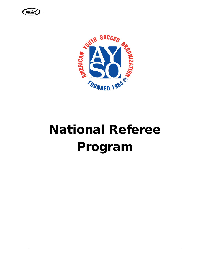



# National Referee Program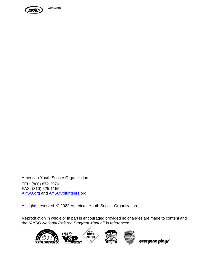

American Youth Soccer Organization TEL: (800) 872-2976 FAX: (310) 525-1155 [AYSO.org](http://ayso.org/) and [AYSOVolunteers.org](https://www.aysovolunteers.org/)

All rights reserved. © 2022 American Youth Soccer Organization

Reproduction in whole or in part is encouraged provided no changes are made to content and the "*AYSO National Referee Program Manual*" is referenced.

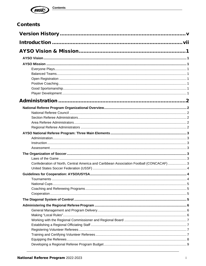# **Contents**

| Confederation of North, Central America and Caribbean Association Football (CONCACAF)  3 |  |
|------------------------------------------------------------------------------------------|--|
|                                                                                          |  |
|                                                                                          |  |
|                                                                                          |  |
|                                                                                          |  |
|                                                                                          |  |
|                                                                                          |  |
|                                                                                          |  |
|                                                                                          |  |
|                                                                                          |  |
|                                                                                          |  |
|                                                                                          |  |
|                                                                                          |  |
|                                                                                          |  |
|                                                                                          |  |
|                                                                                          |  |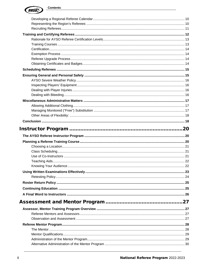

| 22 |
|----|
|    |
|    |
|    |
|    |
|    |
|    |
|    |
|    |
|    |
|    |
|    |
|    |
|    |
|    |
|    |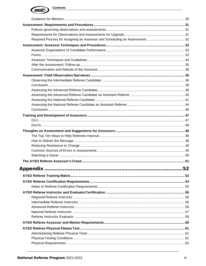**AYSOS** 

| 52 |
|----|
|    |
|    |
|    |
|    |
|    |
|    |
|    |
|    |
|    |
|    |
|    |
|    |
|    |
|    |
|    |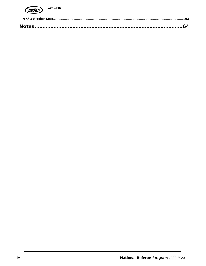

**Contents**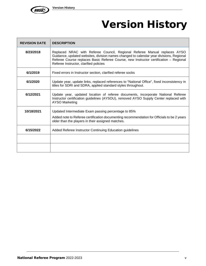<span id="page-6-0"></span>

# Version History

| <b>REVISION DATE</b> | <b>DESCRIPTION</b>                                                                                                                                                                                                                                                                                      |
|----------------------|---------------------------------------------------------------------------------------------------------------------------------------------------------------------------------------------------------------------------------------------------------------------------------------------------------|
| 8/23/2018            | Replaced NRAC with Referee Council, Regional Referee Manual replaces AYSO<br>Guidance, updated websites, division names changed to calendar year divisions, Regional<br>Referee Course replaces Basic Referee Course, new Instructor certification - Regional<br>Referee Instructor, clarified policies |
| 6/1/2019             | Fixed errors in Instructor section, clarified referee socks                                                                                                                                                                                                                                             |
| 6/1/2020             | Update year, update links, replaced references to "National Office", fixed inconsistency in<br>titles for SDRI and SDRA, applied standard styles throughout.                                                                                                                                            |
| 6/12/2021            | Update year, updated location of referee documents, incorporate National Referee<br>Instructor certification guidelines (AYSOU), removed AYSO Supply Center replaced with<br><b>AYSO Marketing</b>                                                                                                      |
| 10/18/2021           | Updated Intermediate Exam passing percentage to 85%                                                                                                                                                                                                                                                     |
|                      | Added note to Referee certification documenting recommendation for Officials to be 2 years<br>older than the players in their assigned matches.                                                                                                                                                         |
| 6/15/2022            | Added Referee Instructor Continuing Education guidelines                                                                                                                                                                                                                                                |
|                      |                                                                                                                                                                                                                                                                                                         |
|                      |                                                                                                                                                                                                                                                                                                         |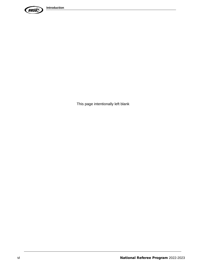

This page intentionally left blank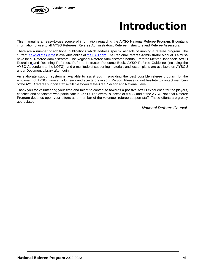# Introduction

<span id="page-8-0"></span>This manual is an easy-to-use source of information regarding the AYSO National Referee Program. It contains information of use to all AYSO Referees, Referee Administrators, Referee Instructors and Referee Assessors.

There are a number of additional publications which address specific aspects of running a referee program. The current *Laws of the [Game](https://theifab.com/log-documents)* is available online at [theIFAB.com.](https://www.theifab.com/documents/) The Regional Referee Administrator Manual is a musthave for all Referee Administrators. The Regional Referee Administrator Manual, Referee Mentor Handbook, AYSO Recruiting and Retaining Referees, Referee Instructor Resource Book, AYSO Referee Guideline (including the AYSO Addendum to the LOTG), and a multitude of supporting materials and lesson plans are available on AYSOU under Document Library after login.

An elaborate support system is available to assist you in providing the best possible referee program for the enjoyment of AYSO players, volunteers and spectators in your Region. Please do not hesitate to contact members of the AYSO referee support staff available to you at the Area, Section and National Level.

Thank you for volunteering your time and talent to contribute towards a positive AYSO experience for the players, coaches and spectators who participate in AYSO. The overall success of AYSO and of the AYSO National Referee Program depends upon your efforts as a member of the volunteer referee support staff. Those efforts are greatly appreciated.

*-- National Referee Council*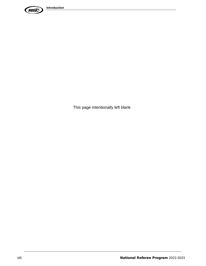

This page intentionally left blank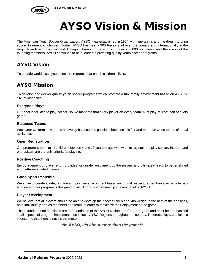<span id="page-10-0"></span>

# AYSO Vision & Mission

The American Youth Soccer Organization, AYSO, was established in 1964 with nine teams and the dream to bring soccer to American children. Today, AYSO has nearly 900 Regions all over the country and internationally in the Virgin Islands and Trinidad and Tobago. Thanks to the efforts of over 250,000 volunteers and the vision of the founding members, AYSO continues to be a leader in providing quality youth soccer programs.

# <span id="page-10-1"></span>AYSO Vision

<span id="page-10-2"></span>To provide world class youth soccer programs that enrich children's lives.

# AYSO Mission

To develop and deliver quality youth soccer programs which promote a fun, family environment based on AYSO's Six Philosophies:

# <span id="page-10-3"></span>**Everyone Plays**

Our goal is for kids to play soccer–so we mandate that every player on every team must play at least half of every game.

# <span id="page-10-4"></span>**Balanced Teams**

Each year we form new teams as evenly balanced as possible–because it is fair and more fun when teams of equal ability play.

# <span id="page-10-5"></span>**Open Registration**

Our program is open to all children between 4 and 19 years of age who want to register and play soccer. Interest and enthusiasm are the only criteria for playing.

## <span id="page-10-6"></span>**Positive Coaching**

Encouragement of player effort provides for greater enjoyment by the players and ultimately leads to better-skilled and better-motivated players.

## <span id="page-10-7"></span>**Good Sportsmanship**

We strive to create a safe, fair, fun and positive environment based on mutual respect, rather than a win-at-all-costs attitude and our program is designed to instill good sportsmanship in every facet of AYSO.

# <span id="page-10-8"></span>**Player Development**

We believe that all players should be able to develop their soccer skills and knowledge to the best of their abilities, both individually and as members of a team, in order to maximize their enjoyment of the game.

These fundamental principles are the foundation of the AYSO National Referee Program and must be emphasized in all aspects of program implementation in local AYSO Regions throughout the country. Referees play a crucial role in ensuring that there is truth in the motto*:*

*"In AYSO, it's about more than the game!"*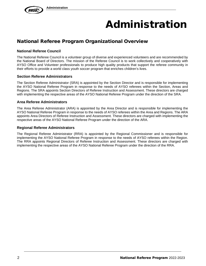<span id="page-11-0"></span>

# Administration

# <span id="page-11-1"></span>National Referee Program Organizational Overview

# <span id="page-11-2"></span>**National Referee Council**

The National Referee Council is a volunteer group of diverse and experienced volunteers and are recommended by the National Board of Directors. The mission of the Referee Council is to work collectively and cooperatively with AYSO Office and Volunteer professionals to produce high quality products that support the referee community in their efforts to provide a world class youth soccer program that enriches children's lives.

## <span id="page-11-3"></span>**Section Referee Administrators**

The Section Referee Administrator (SRA) is appointed by the Section Director and is responsible for implementing the AYSO National Referee Program in response to the needs of AYSO referees within the Section, Areas and Regions. The SRA appoints Section Directors of Referee Instruction and Assessment. These directors are charged with implementing the respective areas of the AYSO National Referee Program under the direction of the SRA.

## <span id="page-11-4"></span>**Area Referee Administrators**

The Area Referee Administrator (ARA) is appointed by the Area Director and is responsible for implementing the AYSO National Referee Program in response to the needs of AYSO referees within the Area and Regions. The ARA appoints Area Directors of Referee Instruction and Assessment. These directors are charged with implementing the respective areas of the AYSO National Referee Program under the direction of the ARA.

# <span id="page-11-5"></span>**Regional Referee Administrators**

The Regional Referee Administrator (RRA) is appointed by the Regional Commissioner and is responsible for implementing the AYSO National Referee Program in response to the needs of AYSO referees within the Region. The RRA appoints Regional Directors of Referee Instruction and Assessment. These directors are charged with implementing the respective areas of the AYSO National Referee Program under the direction of the RRA.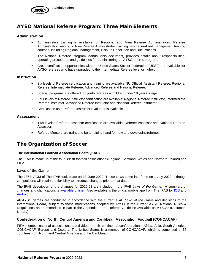# <span id="page-12-0"></span>AYSO National Referee Program: Three Main Elements

# <span id="page-12-1"></span>**Administration**

- Administrative training is available for Regional and Area Referee Administrators: Referee Administrator Training or Area Referee Administrator Training plus generalized management training courses, including Regional Management, Dispute Resolution and Due Process.
- The National Referee Program Manual (this document) provides details about responsibilities, operating procedures and guidelines for administering an AYSO referee program.
- Cross-certification opportunities with the United States Soccer Federation (USSF) are available for AYSO referees who have upgraded to the Intermediate Referee level or higher.

#### <span id="page-12-2"></span>**Instruction**

- Six levels of Referee certification and training are available: 8U Official, Assistant Referee, Regional Referee, Intermediate Referee, Advanced Referee and National Referee.
- Special programs are offered for youth referees children under 18 years of age.
- Four levels of Referee Instructor certification are available: Regional Referee Instructor, Intermediate Referee Instructor, Advanced Referee Instructor and National Referee Instructor.
- Certification as a Referee Instructor Evaluator is available.

#### <span id="page-12-3"></span>**Assessment**

- Two levels of referee assessor certification are available: Referee Assessor and National Referee Assessor.
- Referee Mentors are trained to be a helping hand for new and developing referees.

# <span id="page-12-4"></span>The Organization of Soccer

## **The International Football Association Board (IFAB)**

The IFAB is made up of the four British football associations (England, Scotland, Wales and Northern Ireland) and FIFA.

## <span id="page-12-5"></span>**Laws of the Game**

The 136th AGM of The IFAB took place on 13 June 2022. These Laws come into force on 1 July 2022, although competitions will retain the flexibility to introduce changes prior to that date.

The IFAB description of the changes for 2022-23 are included in the IFAB *Laws of the Game*. A summary of changes and clarifications is [available online.](https://www.theifab.com/law-changes/latest/) Also available is the official mobile app from The IFAB for [IOS](https://apps.apple.com/us/app/laws-of-the-game/id1464911972) and [Android.](https://play.google.com/store/apps/details?id=com.theifab.lawsofthegame)

All AYSO games are conducted in accordance with the current IFAB *Laws of the Game* and decisions of the International Board, subject to those modifications adopted by AYSO in the current AYSO National Rules & Regulations and summarized in part in the Appendix of the Referee Guideline available on [AYSOU](http://www.aysou.org/) (Document Library).

## <span id="page-12-6"></span>**Confederation of North, Central America and Caribbean Association Football (CONCACAF)**

FIFA member national associations are divided into six continental confederations: Africa, Asia, South America, CONCACAF, Europe and Oceana. The United States is a member of CONCACAF, which is comprised of 35 countries from North and Central America and the Caribbean.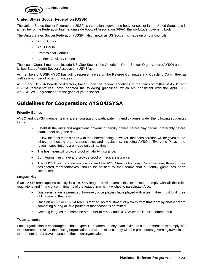

# <span id="page-13-0"></span>**United States Soccer Federation (USSF)**

The United States Soccer Federation (USSF) is the national governing body for soccer in the United States and is a member of the Fédération Internationale de Football Association (FIFA), the worldwide governing body.

The United States Soccer Federation (USSF), also known as US Soccer, is made up of four councils:

- Youth Council
- Adult Council
- Professional Council
- Athletes' Advisory Council

The Youth Council members include US Club Soccer, the American Youth Soccer Organization (AYSO) and the United States Youth Soccer Association (USYSA).

As members of USSF, AYSO has voting representatives on the Referee Committee and Coaching Committee, as well as a number of othercommittees.

AYSO and USYSA boards of directors, based upon the recommendations of the joint committee of AYSO and USYSA representatives, have adopted the following guidelines, which are consistent with the April 1989 AYSO/USYSA agreement, for the good of youth soccer.

# <span id="page-13-1"></span>Guidelines for Cooperation: AYSO/USYSA

## **Friendly Games**

AYSO and USYSA member teams are encouraged to participate in friendly games under the following suggested format:

- Establish the rules and regulations governing friendly games before play begins, preferably before teams meet on game day.
- Follow the host team's rules with the understanding, however, that consideration will be given to the other, non-hosting organizations rules and regulations, including AYSO's "Everyone Plays" rule (even if substitutions are made only at halftime).
- The host team will provide proof of liability insurance.
- Both teams must have and provide proof of medical insurance.
- The USYSA team's state association and the AYSO team's Regional Commissioner, through their designated representatives, should be notified by their teams that a friendly game has been scheduled.

#### **League Play**

If an AYSO team applies to play in a USYSA league or vice-versa, that team must comply with all the rules, regulations and financial commitments of the league in which it wishes to participate. Also:

- Dual registration is permitted; however, once players have played with a team, they must fulfill their obligations to that team.
- Once an AYSO or USYSA team is formed, no recruitment of players from that team by another team competing during all or a portion of that season is permitted.
- Creating leagues that combine a number of AYSO and USYSA teams is notrecommended.

## <span id="page-13-2"></span>**Tournaments**

Each organization is encouraged to host "Open Tournaments." Any team invited to a tournament must comply with the tournament rules of the hosting organization. All teams must comply with the procedures governing travel in the tournament and/or travel manual of their own organization.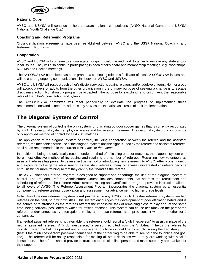

# <span id="page-14-0"></span>**National Cups**

AYSO and USYSA will continue to hold separate national competitions (AYSO National Games and USYSA National Youth Challenge Cup).

# <span id="page-14-1"></span>**Coaching and Refereeing Programs**

Cross-certification agreements have been established between AYSO and the USSF National Coaching and Refereeing Programs.

## <span id="page-14-2"></span>**Cooperation**

AYSO and USYSA will continue to encourage an ongoing dialogue and work together to resolve any state and/or local issues. They will also continue participating in each other's board and membership meetings, e.g., workshops, NAGMs and Section meetings.

The AYSO/USYSA committee has been granted a continuing role as a facilitator of local AYSO/USYSA issues and will be a strong ongoing communications link between AYSO and USYSA.

AYSO and USYSA willrespect each other's disciplinary actions against players and/or adult volunteers. Neither group will accept players or adults from the other organization if the primary purpose of seeking a change is to escape disciplinary action. Nor should a program be accepted if the purpose for switching is to circumvent the reasonable rules of the other's constitution and bylaws.

The AYSO/USYSA committee will meet periodically to evaluate the progress of implementing these recommendations and, if needed, address any new issues that arise as a result of their implementation.

# <span id="page-14-3"></span>The Diagonal System of Control

The diagonal system of control is the only system for officiating outdoor soccer games that is currently recognized by FIFA. The diagonal system employs a referee and two assistant referees. The diagonal system of control is the only approved method of control for all AYSO matches.

The application of the diagonal system of control, including cooperation between the referee and the assistant referees, the mechanics of the use of the diagonal system and the signals used by the referee and assistant referees, shall be as recommended in the current IFAB *Laws of the Game*.

In addition to being the universally recommended method of officiating outdoor matches, the diagonal system can be a most effective method of increasing and retaining the number of referees. Recruiting new volunteers as assistant referees has proven to be an effective method of introducing new referees into AYSO. After proper training and exposure to the game while serving as assistant referees, many otherwise uninterested volunteers become enthusiastic for more training so that they can try their hand as the referee.

The AYSO National Referee Program is designed to support and encourage the use of the diagonal system of control. The Regional Referee Administrator Course includes components that address the recruitment and scheduling of referees. The Referee Administrator Training and Certification Program provides instruction tailored to all levels of AYSO. The Referee Assessment Program incorporates the diagonal system as an essential component of referee testing, observation and assessment for advancement to higher-grade levels.

Note: Use of the dual refereeing system is **not permitted** in any AYSO match. The dual refereeing system uses two referees on the field, both with whistles. This system encourages the development of poor officiating habits and is the source of frustrations as the referees attempt the impossible task of remaining close to play and, at the same time, being correctly positioned to watch for offside offenses. This system can cause hesitancy on the part of the referees and/or unnecessary interruptions in play as the two referees attempt to consult with one another for a consensus.

If a neutral assistant referee is not available, the referee should recruit a "club linesperson" to assist in place of the neutral assistant referee. A "club linesperson," a person recruited from the "club/team," helps the referee by indicating when the ball has passed out of play over a touchline or goal line by simply raising the flag straight up (best if the "club linesperson" positions themselves at the corner flag to be able to see both the touchline and goal line). The referee will be solely responsible for making all other decisions when they are working with a "club linesperson." The referee should provide instructions to the "club linesperson" and make sure they are thanked for their support.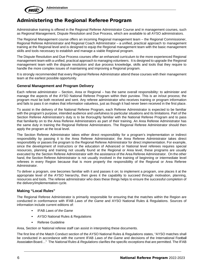

# <span id="page-15-0"></span>Administering the Regional Referee Program

Administrative training is offered in the Regional Referee Administrator Course and in management courses, such as Regional Management, Dispute Resolution and Due Process, which are available to all AYSO administrators.

The Regional Management course offers an incoming Regional management team – the Regional Commissioner, Regional Referee Administrator and Regional Coach Administrator – a unified, practical approach to management training at the Regional level and is designed to equip the Regional management team with the basic management skills and tools necessary to establish and manage a viable Regional program.

The Dispute Resolution and Due Process courses offer an enhanced curriculum to the more experienced Regional management team with a unified, practical approach to managing volunteers. It is designed to upgrade the Regional management team with the dispute resolution and due process knowledge, skills and tools that they require to handle the more complex issues of maintaining and improving a Regional program.

It is strongly recommended that every Regional Referee Administrator attend these courses with their management team at the earliest possible opportunity.

# <span id="page-15-1"></span>**General Management and Program Delivery**

Each referee administrator – Section, Area or Regional – has the same overall responsibility: to administer and manage the aspects of the AYSO National Referee Program within their purview. This is an in/out process; the program must be both received and sent. Any referee administrator who receives training or program information and fails to pass it on makes that information valueless, just as though it had never been received in the first place.

To assist in the delivery of the National Referee Program, each Referee Administrator is expected to be familiar with the program's purpose, intended audience and usefulness to particular situations and its limitations. Part of the Section Referee Administrator's duty is to be thoroughly familiar with the National Referee Program and to pass that familiarity on to the Area Referee Administrators as part of their training. An Area Referee Administrator has the same duty in training the Regional Referee Administrators. The Regional Referee Administrator should then apply the program at the local level.

The Section Referee Administrator takes either direct responsibility for a program's implementation or indirect responsibility by passing it to the Area Referee Administrator; the Area Referee Administrator takes direct responsibility or passes the program to the Regional Referee Administrator for direct implementation. For example, since the development of instructors or the education of Advanced or National level referees requires special resources, planning and training not usually found at the Regional or Area level, these programs are usually executed by the Section Referee Administrator with the assistance of the Area Referee Administrator. On the other hand, the Section Referee Administrator is not usually involved in the training of beginning or intermediate level referees in every Region because that is more properly the responsibility of the Regional or Area Referee Administrator.

To deliver a program, one becomes familiar with it and passes it on; to implement a program, one places it at the appropriate level of the AYSO hierarchy, then gives it the capability to succeed through motivation, planning, resources and tools. The referee administrator who does these things helps to ensure the successful completion of the delivery/implementation cycle.

## <span id="page-15-2"></span>**Making "Local Rules"**

The Regional Referee Administrator is primarily responsible for ensuring that the matches within the Region are conducted in conformance with IFAB *Laws of the Game* and AYSO National Rules & Regulations. Sources of information include current editions of:

- IFAB *Laws of the Game*
- AYSO National Rules & Regulations
- Referee Guideline

Area, Section or National referee staff can assist in interpreting these documents.

The first line of the Match Conduct section of the AYSO National Rules & Regulations states, "AYSO matches shall be conducted in accordance with the current IFAB *Laws of the Game* and decisions of the International Football Association Board…" The *National Rules & Regulations* clarifies the specific exceptions that are permitted. The IFAB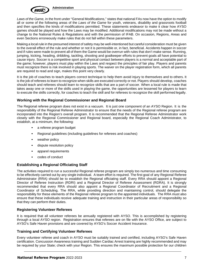*Laws of the Game,* in the front under "General Modifications," states that national FAs now have the option to modify all or some of the following areas of the *Laws of the Game* for youth, veterans, disability and grassroots football and then specifies the kinds of modifications permitted. These statements endeavor to make it clear how AYSO games should be played and how the Laws may be modified. Additional modifications may not be made without a change to the National Rules & Regulations and with the permission of IFAB. On occasion, Regions, Areas and even Sections erroneously make rules that do not fall within these parameters.

Making a local rule in the presumed interest of safety may be well-intentioned but careful consideration must be given to the overall effect of the rule and whether or not it is permissible or, in fact, beneficial. Accidents happen in soccer and if rules were made to prevent all of them the Game would be overrun with rules that don't make sense. Running, jumping, kicking, heading, dribbling, tackling, shooting and goalkeeper efforts to prevent goals all have potential to cause injury. Soccer is a competitive sport and physical contact between players is a normal and acceptable part of the game; however, players must play within the Laws and respect the principles of fair play. Players and parents must recognize there is risk involved in playing sports. The waiver on the player registration form, which all parents are required to read and sign, makes this point very clearly.

It is the job of coaches to teach players correct technique to help them avoid injury to themselves and to others. It is the job of referees to learn to recognize when skills are executed correctly or not. Players should develop, coaches should teach and referees should learn to recognize skills that are a part of soccer. When a local rule is made that takes away one or more of the skills used in playing the game, the opportunities are lessened for players to learn to execute the skills correctly, for coaches to teach the skill and for referees to recognize the skill performed legally.

# <span id="page-16-0"></span>**Working with the Regional Commissioner and Regional Board**

The Regional referee program does not exist in a vacuum. It is just one component of an AYSO Region. It is the responsibility of the Regional Referee Administrator to ensure that the needs of the Regional referee program are incorporated into the Region's overall program. It is recommended that the Regional Referee Administrator work closely with the Regional Commissioner and Regional board, especially the Regional Coach Administrator, to establish, at a minimum, the following:

- a referee program budget
- Regional guidelines (including guidelines for referees and coaches)
- weather policy
- dispute resolution policy
- apparel requirements
- codes of conduct

## <span id="page-16-1"></span>**Establishing a Regional Officiating Staff**

The activities required to run a successful Regional referee program are simply too numerous and time consuming to be effectively carried out by any single individual. A team effort is required. The first goal of any Regional Referee Administrator (RRA) should be to establish the Regional officiating staff. Every RRA should appoint a Regional Director of Referee Instruction (RDRI) and a Regional Director of Referee Assessment (RDRA). It is strongly recommended that every RRA should also appoint a Regional Coordinator of Recruitment and a Regional Coordinator of Scheduling. The RRA, while providing direction and maintaining control, should delegate the responsibility for these elements of the Regional referee program to the appointed individuals. The RRA must also ensure that these individuals receive adequate training and instruction in their particular areas of responsibility so that they can perform their duties.

## <span id="page-16-2"></span>**Registering Volunteer Referees**

It is required that all volunteer referees be annually registered with AYSO. This is accomplished by registering through a local AYSO region. Registration ensures that referees are on file with the AYSO Office, are subject to AYSO's Safe Haven provisions and are covered by AYSO's Soccer Accident Insurance.

## <span id="page-16-3"></span>**Training and Certifying Volunteer Referees**

Every volunteer referee and coach in AYSO must be suitably trained and certified, including AYSO's Safe Haven certification. Concussion Awareness training and Sudden Cardiac Arrest training are highly recommended and may be required by your State; check with your Region. This ensures the maximum possible protection for our children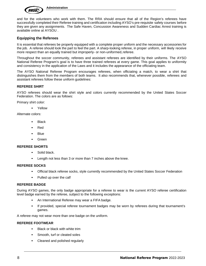

and for the volunteers who work with them. The RRA should ensure that all of the Region's referees have successfully completed their Referee training and certification including AYSO's pre-requisite safety courses before they are given any assignments. The Safe Haven, Concussion Awareness and Sudden Cardiac Arrest training is available online at [AYSOU](https://www.aysou.org/) .

# <span id="page-17-0"></span>**Equipping the Referees**

It is essential that referees be properly equipped with a complete proper uniform and the necessary accessories for the job. A referee should look the part to feel the part. A sharp-looking referee, in proper uniform, will likely receive more respect than an equally trained but improperly- or non-uniformed, referee.

Throughout the soccer community, referees and assistant referees are identified by their uniforms. The AYSO National Referee Program's goal is to have three trained referees at every game. This goal applies to uniformity and consistency in the application of the Laws and it includes the appearance of the officiating team.

The AYSO National Referee Program encourages referees, when officiating a match, to wear a shirt that distinguishes them from the members of both teams. It also recommends that, whenever possible, referees and assistant referees follow these uniform guidelines:

#### **REFEREE SHIRT**

AYSO referees should wear the shirt style and colors currently recommended by the United States Soccer Federation. The colors are as follows:

Primary shirt color:

• Yellow

Alternate colors:

- Black
- Red
- Blue
- Green

#### **REFEREE SHORTS**

- Solid black.
- Length not less than 3 or more than 7 inches above the knee.

#### **REFEREE SOCKS**

- Official black referee socks, style currently recommended by the United States Soccer Federation
- Pulled up over the calf

## **REFEREE BADGE**

During AYSO games, the only badge appropriate for a referee to wear is the current AYSO referee certification level badge earned by the referee, subject to the following exceptions:

- An International Referee may wear a FIFA badge.
- If provided, special referee tournament badges may be worn by referees during that tournament's games.

A referee may not wear more than one badge on the uniform.

#### **REFEREE FOOTWEAR**

- Black or black with white trim
- Smooth, turf or cleated soles
- Cleaned and polished regularly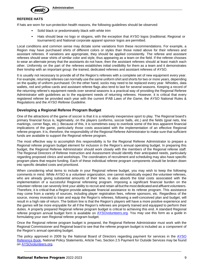

## **REFEREE HATS**

If hats are worn for sun-protection health reasons, the following guidelines should be observed:

- Solid black or predominately black with white trim
- Hats should bear no logo or slogans, with the exception that AYSO logos (traditional, Regional or tournament) and National corporate apparel sponsor logos are permitted.

Local conditions and common sense may dictate some variations from these recommendations. For example, a Region may have purchased shirts of different colors or styles than those noted above for their referees and assistant referees. If variations are appropriate, they should be applied consistently. The referee and assistant referees should wear shirts of similar color and style, thus appearing as a team on the field. If the referee chooses to wear an alternate jersey that the assistants do not have, then the assistant referees should at least match each other. Uniformity on the part of the referees establishes initial credibility for them as a team and it demonstrates their kinship with an important group: the trained, dedicated referees and assistant referees of AYSO.

It is usually not necessary to provide all of the Region's referees with a complete set of new equipment every year. For example, returning referees can normally use the same uniform shirt and shorts for two or more years, depending on the quality of uniform purchased. On the other hand, socks may need to be replaced every year. Whistles, data wallets, red and yellow cards and assistant referee flags also tend to last for several seasons. Keeping a record of the returning referee's equipment needs over several seasons is a practical way of providing the Regional Referee Administrator with guidelines as to the equipment needs of returning referees. However, it is critical that every registered referee be provided each year with the current IFAB *Laws of the Game*, the AYSO National Rules & Regulations and the *AYSO Referee Guideline*.

# <span id="page-18-0"></span>**Developing a Regional Referee Program Budget**

One of the attractions of the game of soccer is that it is a relatively inexpensive sport to play. The Regional board's primary financial focus is, legitimately, on the players (uniforms, soccer balls, etc.) and the fields (goal nets, line markings, corner flags, etc.). Because of this, it is sometimes easy to overlook some of the less apparent financial implications of the game, particularly those costs associated with the implementation of an effective Regional referee program. It is, therefore, the responsibility of the Regional Referee Administrator to make sure that sufficient funds are available to support the Regional referee program.

The most effective way to accomplish this responsibility is for the Regional Referee Administrator to prepare a Regional referee program budget element for inclusion in the Region's annual operating budget. In preparing this budget, the Regional Referee Administrator should work closely with the members of the Regional referee staff. The Regional Directors of Referee Instruction and Assessment should identify their anticipated needs, particularly regarding proposed clinics and workshops. The coordinators of recruitment and scheduling may also have specific program plans that require funding. Each of these individual referee program components should be broken down into specific detailed costs and prioritized.

When considering what items to include in your Regional referee budget, you may wish to keep the following comments in mind. While AYSO is a volunteer organization, one cannot realistically expect the volunteer referees, who are already giving substantial amounts of their time, to also absorb the total costs associated with the implementation of a successful Regional refereeing program. Imposing a significant financial burden on the volunteer referee can severely limit your ability to recruit and retain all but the most dedicated and affluent volunteers. Therefore, it is critical that a Region provide adequate financial assistance to its referee program. This assistance may come from a variety of sources, including player registration fees, referee sponsors, etc. Regardless of the source, money invested to train and equip the Region's referees, following a well-conceived plan and budget, will result in a high rate of return. The bottom line is that the Region's players will have a more positive experience and the games will be more enjoyable for all if the Region's referees are properly trained and equipped to perform their duties. A properly prepared Regional referee program budget is critical to achieving this end. A standard Regional referee program annual budget form is available on [AYSOvolunteers.org.](https://www.aysovolunteers.org/referee-forms) You may use this form as a guide in formulating your own Regional referee program budget.

Once the Regional referee program budget is prepared, the Regional Referee Administrator must work with the Regional Commissioner and Regional board to see that the referee program budget is included as a component of the Region's annual operating budget.

The policy approved in 2009 by the National Board of Directors regarding payment for services in the AYSO [Reference Book,](https://www.aysovolunteers.org/ayso-reference-book/) National Policy Statements, Article Two, Section 2.5 Payment for Outside Services may be found on [AYSOvolunteers.org,](https://www.aysovolunteers.org/)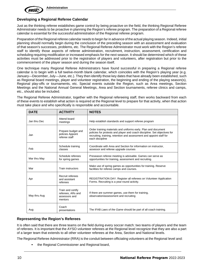

# <span id="page-19-0"></span>**Developing a Regional Referee Calendar**

Just as the thinking referee establishes game control by being proactive on the field, the thinking Regional Referee Administrator needs to be proactive in planning the Region's referee program. The preparation of a Regional referee calendar is essential for the successful administration of the Regional referee program.

Preparation of the Regional referee calendar needs to begin far in advance of the actual playing season. Indeed, initial planning should normally begin during the conclusion of the preceding season with an assessment and evaluation of that season's successes, problems, etc. The Regional Referee Administrator must work with the Region's referee staff to identify those aspects of referee administration, recruitment, instruction, assessment, certification and scheduling requiring modification or increased emphasis for the next season. It should be determined which of these activities must be addressed prior to the registration of players and volunteers, after registration but prior to the commencement of the player season and during the season itself.

One technique many Regional Referee Administrators have found successful in preparing a Regional referee calendar is to begin with a full twelve-month blank calendar, which coincides with the Region's playing year (e.g. January—December, July—June, etc.). They then identify those key dates that have already been established, such as Regional board meetings, player and volunteer registration, the beginning and ending of the playing season(s), Regional play-offs or tournaments, etc. Special events outside the Region, such as Area meetings, Section Meetings and the National Annual General Meetings, Area and Section tournaments, referee clinics and camps, etc., should also be included.

The Regional Referee Administrator, together with the Regional refereeing staff, then works backward from each of these events to establish what action is required at the Regional level to prepare for that activity, when that action must take place and who specifically is responsible and accountable.

| <b>DATE</b>  | <b>ACTIVITY</b>                                                    | <b>NOTES</b>                                                                                                                                                                                                                           |  |
|--------------|--------------------------------------------------------------------|----------------------------------------------------------------------------------------------------------------------------------------------------------------------------------------------------------------------------------------|--|
| Jan thru Dec | Attend board<br>meetings                                           | Help establish standards and support referee program                                                                                                                                                                                   |  |
| Jan          | Prepare budget and<br>policies Appoint<br>referee staff            | Order training materials and uniforms early. Plan and document<br>policies for protests and player and coach discipline. Set objectives for<br>recruiting, training, retention and assessment and appoint staff for<br>each discipline |  |
| Feb          | Schedule training<br>classes                                       | Coordinate with Area and Section for information on instructor,<br>assessor and referee upgrade courses                                                                                                                                |  |
| Mar thru May | Schedule referees<br>for spring games                              | Preseason referee meeting is advisable. Games can serve as<br>opportunities for training, assessment and recruiting.                                                                                                                   |  |
| Mar          | Train instructors                                                  | Make use of spring games as opportunities for training. Reserve<br>facilities for referee camps and courses.                                                                                                                           |  |
| Apr          | Recruit referees<br>and assistant<br>referees                      | <b>REGISTRATION DAY. Register all referees on Volunteer Application</b><br>Forms. Recruiting is a year-round activity.                                                                                                                 |  |
| May thru Aug | Train and certify<br>referees. ARs and<br>assessors and<br>mentors | If there are summer games, use them for training,<br>observation/assessment and recruiting                                                                                                                                             |  |
| Aug          | Coach<br>presentations                                             | The IFAB Laws of the Game should be part of all coach training.                                                                                                                                                                        |  |

# <span id="page-19-1"></span>**Representing the Region's Referees**

It is often said that there are three teams on the field during every soccer match: two teams of players and the team of referees. It is important that the AYSO volunteer referees at the Regional level recognize that they are also a part of a larger team that extends to all other volunteer referees at the Area, Section and National levels.

The Regional Referee Administrator (RRA) is the conduit between officiating volunteers at the Regional level and:

• the Regional Commissioner and Regional board,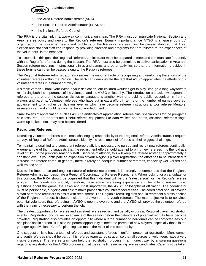

**Administration**

- the Area Referee Administrator (ARA),
- the Section Referee Administrator (SRA), and
- the National Referee Council

The RRA is the vital link in a two-way communication chain. The RRA must communicate National, Section and Area referee policy and news to the Region's referees. Equally important, since AYSO is a "grass-roots up" organization, the concerns, needs and problems of the Region's referees must be passed along so that Area, Section and National staff can respond by providing direction and programs that are tailored to the experiences of the volunteers "in the trenches".

To accomplish this goal, the Regional Referee Administrator must be prepared to meet and communicate frequently with the Region's referees during the season. The RRA must also be committed to active participation in Area and Section referee meetings, instructional clinics and camps and other activities so that the information provided in these forums can then be passed along to the Region's referees.

The Regional Referee Administrator also serves the important role of recognizing and reinforcing the efforts of the volunteer referees within the Region. The RRA can demonstrate the fact that AYSO appreciates the efforts of our volunteer referees in a number of ways:

A simple verbal: "Thank you! Without your dedication, our children wouldn't get to play" can go a long way toward reinforcing both the importance of the volunteer and the AYSO philosophy. The introduction and acknowledgment of referees at the end-of-the-season picnics or banquets is another way of providing public recognition in front of players and parents. Volunteer referees who have put in extra effort in terms of the number of games covered, advancement to a higher certification level or who have become referee instructors and/or referee Mentors, assessors can and should be given extra acknowledgment.

Small tokens of appreciation, such as AYSO Certificates of Appreciation, referee pins, special coins for the pre-game coin toss, etc., are appropriate. Useful referee equipment like data wallets and cards, assistant referee's flags, warm-up jackets, etc., may also be considered.

# <span id="page-20-0"></span>**Recruiting Referees**

Recruiting volunteer referees is the most challenging responsibility of the Regional Referee Administrator. Frequent surveys of Regional Referee Administrators identify the recruitment of referees as their biggest challenge.

To maintain a qualified and competent referee staff, it is necessary to pursue and recruit new referees continually. A general rule of thumb suggests that the recruitment effort should attempt to bring new referees into the fold at a level of 50% of the previous season's staff. Because of attrition, this will keep the referee roster at approximately a constant level. If you anticipate an expansion of your Region's player registration, the effort has to be intensified to increase the referee corps. In general, there is rarely an adequate number of referees, especially well-versed and well-trained ones.

Due to the importance and ongoing nature of referee recruitment, it is strongly recommended that the Regional Referee Administrator designate a Regional Coordinator of Referee Recruitment. When looking for a candidate for this position, the RRA should be cognizant that this individual will be the "salesperson" for the Region's referee program. The coordinator should, therefore, have some refereeing experience and be able to answer basic questions about the game, the Laws and most importantly, the AYSO philosophy of officiating. The coordinator must be personable, outgoing and able to make prospective volunteers feel at ease. The coordinator should develop a staff of referee recruiters to assist with recruitment. The Region's recruiting staff should represent a cross-section of the Region's referees. It should include men, women and youth referees. The main objective is to convince potential volunteers that refereeing in AYSO is open to everyone and that AYSO will provide the volunteer referee with the training necessary to perform the job.

The greatest opportunity for referee and assistant referee recruitment usually occurs at Regional player registration events. Registration occurs well in advance of the season before the calendars of potential recruits have become crowded. Registration also provides an opportunity where a large number of individuals can be contacted easily in one place and in person. It is also the perfect opportunity to meet the parents of new players, especially those in the younger age divisions. Careful planning can make the most of this opportunity.

One suggestion is to have a team of referees and assistant referees in uniform present at registration. Men, women and youth referees should be part of this referee team at registration so that all sources of volunteers have a very visible presence. The referee team can help the registration process in an indirect way by answering questions regarding registration or the AYSO program and at the same time recruiting referee candidates. Care must be taken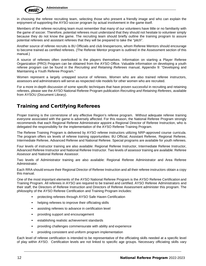

in choosing the referee recruiting team, selecting those who present a friendly image and who can explain the enjoyment of supporting the AYSO soccer program by actual involvement in the game itself.

Members of the referee recruiting team must remember that many of our volunteers have little or no familiarity with the game of soccer. Therefore, potential referees must understand that they should not hesitate to volunteer simply because they do not know the game. The recruiting team should briefly outline the training program to assure potential referees and assistant referees that they will be prepared to take the "pitch".

Another source of referee recruits is 8U Officials and club linespersons, whom Referee Mentors should encourage to become trained as certified referees. (The Referee Mentor program is outlined in the Assessment section of this manual.)

A source of referees often overlooked is the players themselves. Information on starting a Player Referee Organization (PRO) Program can be obtained from the AYSO Office. Valuable information on developing a youth referee program can be found in the *Recruiting and Retaining Referees* manual, Appendix 9: "Developing and Maintaining a Youth Referee Program."

Women represent a largely untapped source of referees. Women who are also trained referee instructors, assessors and administrators will serve as respected role models for other women who are recruited.

For a more in-depth discussion of some specific techniques that have proven successful in recruiting and retaining referees, please see the AYSO National Referee Program publication *Recruiting and Retaining Referees*, available from AYSOU (Document Library).

# <span id="page-21-0"></span>Training and Certifying Referees

Proper training is the cornerstone of any effective Region's referee program. Without adequate referee training everyone associated with the game is adversely affected. For this reason, the National Referee Program strongly recommends that each Regional Referee Administrator appoint a Regional Director of Referee Instruction, who is delegated the responsibility for the implementation of the AYSO Referee Training Program.

The Referee Training Program is delivered by AYSO referee instructors utilizing NRP-approved course curricula. The program offers six levels of referee training opportunities: 8U Official, Assistant Referee, Regional Referee, Intermediate Referee, Advanced Referee and National Referee. Special programs are available for youth referees.

Four levels of instructor training are also available: Regional Referee Instructor, Intermediate Referee Instructor, Advanced Referee Instructor and National Referee Instructor. Two levels of assessor training are available: Referee Assessor and National Referee Assessor.

Two levels of Administrator training are also available: Regional Referee Administrator and Area Referee Administrator.

Each RRA should ensure their Regional Director of Referee Instruction and all their referee instructors obtain a copy this manual.

One of the most important elements of the AYSO National Referee Program is the AYSO Referee Certification and Training Program. All referees in AYSO are required to be trained and certified. AYSO Referee Administrators and their staff, the Directors of Referee Instruction and Directors of Referee Assessment administer this program. The philosophy of the AYSO Referee Certification and Training Program includes:

- protecting referees through AYSO Safe Haven Certification
- helping referees to improve their officiating skills
- assisting referees to advance in certification level
- providing support and encouragement
- establishing realistic achievement standards
- providing challenges commensurate with ability and experience
- providing consistent and uniform program implementation

Each level of referee certification is intended to be representative of the officiating skills needed at a specific level of play within AYSO. Certification levels are not linked to specific age groups. Necessary officiating skills vary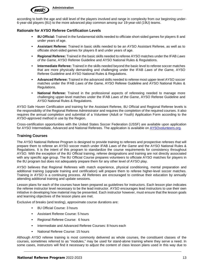

according to both the age and skill level of the players involved and range in complexity from our beginning under-6-year-old players (6U) to the more advanced play common among our 19-year-old (19U) teams.

# <span id="page-22-0"></span>**Rationale for AYSO Referee Certification Levels**

- **8U Official:** Trained in the fundamental skills needed to officiate short-sided games for players 8 and under years of age.
- **Assistant Referee:** Trained in basic skills needed to be an AYSO Assistant Referee, as well as to officiate short-sided games for players 8 and under years of age.
- **Regional Referee:** Trained in the basic skills needed to referee AYSO matches under the IFAB *Laws of the Game,* AYSO Referee Guideline and AYSO National Rules & Regulations.
- **Intermediate Referee:** Trained in the skills needed beyond the basic level to referee soccer matches that are more physically demanding and challenging under the IFAB *Laws of the Game,* AYSO Referee Guideline and AYSO National Rules & Regulations.
- **Advanced Referee:** Trained in the advanced skills needed to referee most upper-level AYSO soccer matches under the IFAB *Laws of the Game,* AYSO Referee Guideline and AYSO National Rules & Regulations.
- **National Referee:** Trained in the professional aspects of refereeing needed to manage more challenging upper-level matches under the IFAB *Laws of the Game*, AYSO Referee Guideline and AYSO National Rules & Regulations.

AYSO Safe Haven Certification and training for the Assistant Referee, 8U Official and Regional Referee levels is the responsibility of the Regional Referee Administrator and requires the completion of the required courses. It also requires the annual completion and submittal of a Volunteer (Adult or Youth) Application Form according to the AYSO-approved method in use by the Region.

Cross-certification opportunities with the United States Soccer Federation (USSF) are available upon application for AYSO Intermediate, Advanced and National Referees. The application is available on [AYSOvolunteers.org.](https://bsbproduction.s3.amazonaws.com/portals/14082/docs/referees/forms_documents/administration/cross_certification_form.pdf)

# <span id="page-22-1"></span>**Training Courses**

The AYSO National Referee Program is designed to provide training to referees and prospective referees that will prepare them to referee an AYSO soccer match under IFAB *Laws of the Game* and the AYSO National Rules & Regulations. It is the intent of this program to standardize the course requirements for consistency throughout AYSO. With the exception of the 8U Official training, referee designations and training are not directly associated with any specific age group. The 8U Official Course prepares volunteers to officiate AYSO matches for players in the 8U program but does not adequately prepare them for any other level of AYSO play.

AYSO believes that Regional Referees with match experience, physical conditioning, mental preparation and additional training (upgrade training and certification) will prepare them to referee higher-level soccer matches. Training in AYSO is a continuing process. All Referees are encouraged to continue their education by annually attending additional training and update sessions.

Lesson plans for each of the courses have been prepared as guidelines for instructors. Each lesson plan indicates the referee instructor level necessary to be the lead instructor. AYSO encourages lead instructors to use their own initiative in developing how material may be presented. Each instructor however, must ensure that the lesson goals and learning objectives of the lesson plans are met.

Exclusive of breaks (and testing), approximate course durations are:

- 8U Official Course: 3 hours
- Assistant Referee Course: 5 hours
- Regional Referee Course: 6 hours
- Intermediate and Advanced Referee Courses: 8 hours each
- National Referee Course: 15 hours

Although AYSO referee training is most commonly delivered as whole courses, the constituent classes of the courses, sometimes referred to as "modules," may be used for stand-alone training where they serve a need. In some cases, instructors will find it necessary to adjust the content of class lesson plans used in this way due to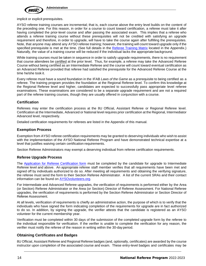

implicit or explicit prerequisites.

AYSO referee training courses are incremental; that is, each course above the entry level builds on the content of the preceding one. For this reason, in order for a course to count toward certification, a referee must take it after having completed the prior-level course and after passing the associated exam. This implies that a referee who attends a referee training course without these prerequisites will not be credited with satisfying an upgrade requirement and therefore, in order to upgrade, will have to take the course again after fulfilling the prerequisites. Note, that anyone may attend any AYSO referee training; however, the training will count toward upgrade only if the specified prerequisite is met at the time. (See full details in the [Referee Training Matrix](#page-61-1) located in the Appendix.) Naturally, the value of a training course will be reduced if the individual lacks the appropriate background.

While training courses must be taken in sequence in order to satisfy upgrade requirements, there is no requirement that course attendees be certified at the prior level. Thus, for example, a referee may take the Advanced Referee Course without being certified as an Intermediate Referee and the course will count toward eventual certification as an Advanced Referee provided that referee had satisfied the prerequisite for the Advanced Referee Course at the time he/she took it.

Every referee must have a sound foundation in the IFAB *Laws of the Game* as a prerequisite to being certified as a referee. The training program provides the foundation at the Regional Referee level. To confirm this knowledge at the Regional Referee level and higher, candidates are expected to successfully pass appropriate level referee examinations. These examinations are considered to be a separate upgrade requirement and are not a required part of the referee training courses, though they are usually offered in conjunction with a course.

# <span id="page-23-0"></span>**Certification**

Referees may enter the certification process at the 8U Official, Assistant Referee or Regional Referee level. Certification at the Intermediate, Advanced or National level requires prior certification at the Regional, Intermediator Advanced level, respectively.

<span id="page-23-1"></span>Detailed certification requirements for referees are listed in the Appendix of this manual.

## **Exemption Process**

Exemption from AYSO referee certification requirements may be granted to deserving individuals who wish to assist with the implementation of the AYSO National Referee Program and have demonstrated technical expertise at a level that justifies waiving certain certification requirements.

Section Referee Administrators may exempt a deserving individual from referee certification requirements.

## <span id="page-23-2"></span>**Referee Upgrade Process**

The [Application for Referee Certification form](https://aysovolunteers.org/forms-referee-administration/) must be completed by the candidate for upgrade to Intermediate Referee level and above. An appropriate referee staff member verifies that all requirements have been met and signed off by individuals authorized to do so. After meeting all requirements and obtaining the verifying signature, the referee must send the form to their Section Referee Administrator. A list of the current SRAs and their contact information can be found on [AYSOvolunteers.org.](https://www.aysovolunteers.org/sra-contact-list/)

For Intermediate and Advanced Referee upgrades, the verification of requirements is performed either by the Area (or Section) Referee Administrator or the Area (or Section) Director of Referee Assessment. For National Referee upgrades, the verification of requirements is performed by the Section Referee Administrator or Section Director of Referee Assessment.

At all levels, verification of requirements is chiefly an administrative action, the purpose of which is to verify that the individuals who have signed the form indicating completion of the requirements for upgrade are in fact authorized to do so. In addition, by signing the upgrade, the verifier attests that the candidate is registered as an AYSO volunteer for the current membership year.

Verification must be completed within 30 days of the submission of the completed upgrade form by the referee to the individual responsible for verification. If the verifier is unable to complete the verification for any reason, the verifier must notify the referee of the reason in writing within the 30-day period.

## <span id="page-23-3"></span>**Obtaining Certificates and Badges**

8U Official, Assistant Referee and Regional Referee badges (and, optionally, certificates) are awarded by the course instructor upon completion of the associated course and exam. These entry-level badges and certificates may be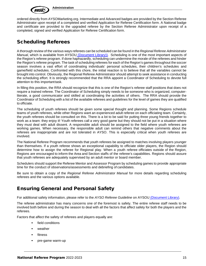

ordered directly from AYSOMarketing.org. Intermediate and Advanced badges are provided by the Section Referee Administrator upon receipt of a completed and verified Application for Referee Certification form. A National badge and certificate are provided to the upgraded referee by the Section Referee Administrator upon receipt of a completed, signed and verified Application for Referee Certification form.

# <span id="page-24-0"></span>Scheduling Referees

A thorough review of the various ways referees can be scheduled can be found in the *Regional Referee Administrator Manual*, which is available from AYSOU (Document Library)). Scheduling is one of the most important aspects of the Region's referee program. If done haphazardly, scheduling can undermine the morale of the referees and hinder the Region's referee program. The task of scheduling referees for each of the Region's games throughout the soccer season involves a vast effort of coordinating individuals' personal schedules, their children's schedules and game/field schedules. Confronted with this chore, the initial reaction is to believe that all the variables cannot be brought into control. Obviously, the Regional Referee Administrator should attempt to seek assistance in conducting the scheduling effort. It is strongly recommended that the RRA appoint a Coordinator of Scheduling to devote full attention to this important task.

In filling this position, the RRA should recognize that this is one of the Region's referee staff positions that does not require a trained referee. The Coordinator of Scheduling simply needs to be someone who is organized, computerliterate, a good communicator and skilled at coordinating the activities of others. The RRA should provide the Coordinator of Scheduling with a list of the available referees and guidelines for the level of games they are qualified to officiate.

The scheduling of youth referees should be given some special thought and planning. Some Regions schedule teams of youth referees, while other Regions want an experienced adult referee on each officiating team. Certainly, the youth referees should be consulted on this. There is a lot to be said for putting three young friends together to work as a team: they enjoy it! Youth referees call a very good game but they should not be put in a situation where they must deal with adult dissent. A responsible adult should be assigned to the field where youth referees are working games. When necessary, the responsible adult can remind others that negative comments about the referees are inappropriate and are not tolerated in AYSO. This is especially critical when youth referees are involved.

The National Referee Program recommends that youth referees be assigned to matches involving players younger than themselves. If a youth referee shows an exceptional capability to officiate older players, the Region should determine how to assign the referee for Regional play. When a youth referee officiates outside of the Region, Regions are encouraged to inform the Area and Section staffs of the referee's capabilities. Regions should assure that youth referees are adequately supervised by an adult mentor or board member.

Schedulers should support the Referee Mentor and Assessor Program by scheduling games to provide appropriate time for the conduct of observations/assessments and debriefing of candidates.

Be sure to obtain a copy of the *Regional Referee Administrator Manual* for more details regarding scheduling referees and the various options available.

# <span id="page-24-1"></span>Ensuring General and Personal Safety

For additional safety information, please refer to the *AYSO Referee Guideline* on AYSOU (Document Library)*.*

The referee administrator has many concerns one of the foremost is safety. The entire referee staff needs to be involved both before and during the season to deal with all the factors that affect safety for both the players and the referees.

Factors that affect the safety of referees and players equally are:

- field conditions
- weather
- **fitness**
- pre-game warm-up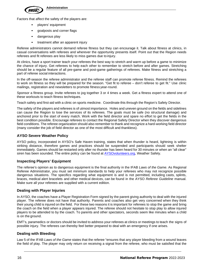

Factors that affect the safety of the players are:

- players' equipment
- goalposts and corner flags
- dangerous play
- treatment after an apparent injury

Referee administrators cannot demand referee fitness but they can encourage it. Talk about fitness at clinics, in casual conversations with referees and wherever the opportunity presents itself. Point out that the Region needs referees and fit referees are less likely to miss games due to injury.

At clinics, have a sport trainer teach your referees the best way to stretch and warm up before a game to minimize the chance of injury. Get referees to help each other to remember to stretch before and after games. Stretching should be a regular feature of all pre-game and post-game gatherings of referees. Make fitness and stretching a part of referee social interactions.

In the off-season the referee administrator and the referee staff can promote referee fitness. Remind the referees to work on fitness so they will be prepared for the season. "Get fit to referee – don't referee to get fit." Use clinic mailings, registration and newsletters to promote fitness year-round.

Sponsor a fitness group. Invite referees to jog together 3 or 4 times a week. Get a fitness expert to attend one of these workouts to teach fitness techniques.

Teach safety and first-aid with a clinic on sports medicine. Coordinate this through the Region's Safety Director.

The safety of the players and referees is of utmost importance. Holes and uneven ground on the fields and sidelines can cause the Region to lose the services of its referees. The goals must be safe (no structural damage) and anchored prior to the start of every match. Work with the field director and spare no effort to get the fields in the best condition possible. Encourage referees to contact the Regional Safety Director when they discover dangerous field conditions. The referee organization should also remember to thank and recognize a hard-working field director (many consider the job of field director as one of the most difficult and thankless).

# <span id="page-25-0"></span>**AYSO Severe Weather Policy**

AYSO policy, incorporated in AYSO's Safe Haven training, states that when thunder is heard, lightning is within striking distance, therefore games and practices should be suspended and participants should seek shelter immediately. Games should be restarted only after no thunder has been heard for 30 minutes or when an "all clear" siren has been sounded. The entire policy can be found at [AYSOvolunteers.org,](https://www.aysovolunteers.org/weather-safety/) Weather Safety.

# <span id="page-25-1"></span>**Inspecting Players' Equipment**

The referee's opinion as to dangerous equipment is the final authority in the IFAB *Laws of the Game*. As Regional Referee Administrator, you must set minimum standards to help your referees who may not recognize possible dangerous situations. The specifics regarding what equipment is and is not permitted, including casts, splints, braces, medical alert bracelets and other medical devices, can be found in the AYSO *Referee Guideline* manual. Make sure all your referees are supplied with a current edition.

# <span id="page-25-2"></span>**Dealing with Player Injuries**

In AYSO, the coaches have a Player Registration Form signed by the parent giving authority to deal with the injured player. The referee does not have that authority. Parents and coaches also get very concerned when they think their young child is injured on the field. For these two reasons it is important for referees to stop the game and bring the coach on the field when a player appears injured. The referee should not hesitate to stop play to allow injured players to be attended to by the coach. To parents and other spectators, seconds seem like minutes when a child is on the ground.

EMT's, paramedics or doctors should be invited to address your referees at clinics or meetings to teach the signs of possible injury. The referees can thereby feel better prepared to deal with an emergency if one arises.

# <span id="page-25-3"></span>**Dealing with Bleeding**

Law 5 of the IFAB *Laws of the Game* states that the referee "ensures that any player bleeding from a wound leaves the field of play. The player may only return on receiving a signal from the referee, who must be satisfied that the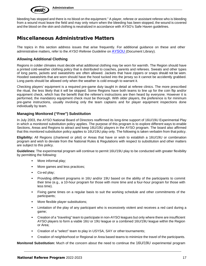

bleeding has stopped and there is no blood on the equipment." A player, referee or assistant referee who is bleeding from a wound must leave the field and may only return when the bleeding has been stopped, the wound is covered and the blood on the skin and clothing is neutralized in accordance with AYSO's Safe Haven guidelines.

# <span id="page-26-0"></span>Miscellaneous Administrative Matters

The topics in this section address issues that arise frequently. For additional guidance on these and other administrative matters, refer to the *AYSO Referee Guideline* on [AYSOU](https://aysou.org/) (Document Library).

# <span id="page-26-1"></span>**Allowing Additional Clothing**

Regions in colder climates must decide what additional clothing may be worn for warmth. The Region should have a printed cold-weather clothing policy that is distributed to coaches, parents and referees. Sweats and other types of long pants, jackets and sweatshirts are often allowed. Jackets that have zippers or snaps should not be worn. Hooded sweatshirts that are worn should have the hood tucked into the jersey so it cannot be accidently grabbed. Long pants should be allowed only when the weather is cold enough to warrant it.

Checking players' equipment is a required pre-game duty taught in detail at referee clinics. The more prescribed the ritual, the less likely that it will be skipped. Some Regions have both teams to line up for the coin flip and/or equipment check, which has the benefit that the referee's instructions are then heard by everyone. However it is performed, the mandatory equipment check must be thorough. With older players, the preference is for minimum pre-game instructions, usually involving only the team captains and for player equipment inspections done individually by team.

# <span id="page-26-2"></span>**Managing Monitored ("Free") Substitution**

In July 2003, the AYSO National Board of Directors reaffirmed its long-time support of 16U/19U Experimental Play in which a monitored substitution policy applies. The purpose of this program is to explore different ways to enable Sections, Areas and Regions to attract and keep 16U/19U players in the AYSO program. The board also affirmed that this monitored substitution policy applies to 16U/19U play only. The following is taken verbatim from that policy.

**Eligibility:** All Regions (chartered or pilot) or Areas that have or wish to establish a 16U/19U or combination program and wish to deviate from the National Rules & Regulations with respect to substitution and other matters are subject to this policy.

**Guidelines:** The experimental program will continue to permit 16U/19U play to be conducted with greater flexibility by permitting the following:

- More informal play;
- More games and less practices;
- Co-ed play;
- Providing different programs in 16U and/or 19U based on the ability of the participants to commit their time (e.g., a 10-hour program for those with more time and a four-hour program for those with less time).
- Fixing game times on a regular basis to suit the working schedule and other commitments of the participants;
- More flexible player substitutions;
- Limitation of the play of any participant who is excessively violent and receives a red card during a game;
- Creation of a "traveling" team to participate in non-AYSO leagues but only where there are insufficient AYSO players to form a viable 16U or 19U league or a combined 16U/19U league within the Region or Area;
- Creation of a "select" team to play in USYSA, SAY or other tournaments;
- Creation of neighborhood or Regional or Area based teams to minimize the travel of the participants.

**Monitored Substitution:** Much of the concern about the need to continue the 16U/19U experimental program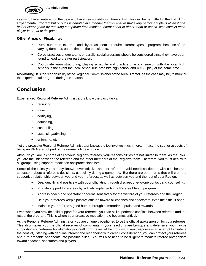

seems to have centered on the desire to have free substitution. Free substitution will be permitted in the 16U/19U Experimental Program but *only if it is handled in a manner that will ensure that every participant plays at least one half of every game by requiring a separate time monitor, independent of either team or coach, who checks each player in or out of the game*.

## <span id="page-27-0"></span>**Other Areas of Flexibility:**

- Rural, suburban, ex-urban and city areas seem to require different types of programs because of the varying demands on the time of the participants.
- Co-ed practices and/or teams or parallel social programs should be considered since they have been found to lead to greater participation.
- Coordinate team structuring, playing schedule and practice time and season with the local high schools in the event the local school rule prohibits high school and AYSO play at the same time.

**Monitoring:** It is the responsibility of the Regional Commissioner or the Area Director, as the case may be, to monitor the experimental program during the season.

# <span id="page-27-1"></span>Conclusion

Experienced Regional Referee Administrators know the basic tasks:

- recruiting,
- training,
- certifying,
- equipping,
- scheduling,
- assessing/advising,
- enforcing, etc.

Yet the proactive Regional Referee Administrator knows the job involves much more. In fact, the subtler aspects of being an RRA are not part of the normal job description.

Although you are in charge of all of your Region's referees, your responsibilities are not limited to them. As the RRA, you are the link between the referees and the other members of the Region's team. Therefore, you must deal with all groups using support, mediation and professionalism.

Some of the rules you already know: never criticize another referee; avoid needless debate with coaches and spectators about a referee's decisions, especially during a game; etc. But there are other rules that will create a supportive relationship between you and your referees, as well as between you and the rest of your Region:

- Deal quickly and positively with poor officiating through discreet one-to-one contact and counseling.
- Provide support to referees by actively implementing a Referee Mentor program.
- Address coach and spectator concerns sensitively for the welfare of your referees and the Region.
- Help your referees keep a positive attitude toward all coaches and spectators, even the difficult ones.
- Maintain your referee's good humor through camaraderie, praise and rewards.

Even when you provide solid support for your referees, you can still experience conflicts between referees and the rest of the program. This is where your proactive mediation role becomes critical.

As the Regional Referee Administrator, you are uniquely positioned to be the official spokesperson for your referees. This also makes you the official receiver of complaints. If your reactions are brusque and defensive, you may be supporting your referees but alienating yourself from the rest of the program. If your response is an attempt to mediate the conflict, listening with genuine interest and responding with careful consideration, you can protect your referees and turn probable opponents into possible allies. You will also need to be diligent to mediate referee antagonism toward coaches, spectators and players.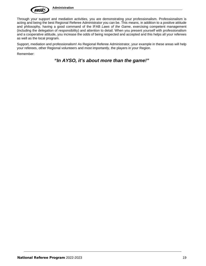

**Administration**

Through your support and mediation activities, you are demonstrating your professionalism. Professionalism is acting and being the best Regional Referee Administrator you can be. This means, in addition to a positive attitude and philosophy, having a good command of the IFAB *Laws of the Game*, exercising competent management (including the delegation of responsibility) and attention to detail. When you present yourself with professionalism and a cooperative attitude, you increase the odds of being respected and accepted and this helps all your referees as well as the local program.

Support, mediation and professionalism! As Regional Referee Administrator, your example in these areas will help your referees, other Regional volunteers and most importantly, the players in your Region.

Remember:

*"In AYSO, it's about more than the game!"*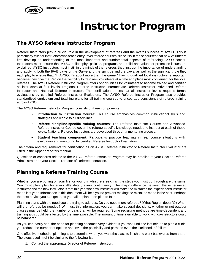<span id="page-29-0"></span>

# Instructor Program

# <span id="page-29-1"></span>The AYSO Referee Instructor Program

Referee Instructors play a crucial role in the development of referees and the overall success of AYSO. This is particularly true for instructors who teach entry-level referee courses, since it is in these courses that new volunteers first develop an understanding of the most important and fundamental aspects of refereeing AYSO soccer. Instructors must ensure that AYSO philosophy, policies, programs and child and volunteer protection issues are explained. AYSO instructors must instill in the minds of the referees they instruct the importance of understanding and applying both the IFAB *Laws of the Game* and the spirit behind the Laws, as well as the significant role they each play to ensure that, "In AYSO, it's about more than the game!" Having qualified local instructors is important because they give the Region the flexibility to train new volunteers at a time and place most convenient for the local referees. The AYSO Referee Instructor Program offers opportunities for volunteers to become trained and certified as instructors at four levels: Regional Referee Instructor, Intermediate Referee Instructor, Advanced Referee Instructor and National Referee Instructor. The certification process at all instructor levels requires formal evaluations by certified Referee Instructor Evaluators. The AYSO Referee Instructor Program also provides standardized curriculum and teaching plans for all training courses to encourage consistency of referee training acrossAYSO.

The AYSO Referee Instructor Program consists of three components:

- **Introduction to Instruction Course**: This course emphasizes common instructional skills and strategies applicable to all disciplines.
- **Referee discipline-specific training courses**: The Referee Instructor Course and Advanced Referee Instructor Course cover the referee-specific knowledge needed to instruct at each of these levels. National Referee Instructors are developed through a mentoringprocess.
- **Student teaching component**: Participants practice teaching in real course situations with evaluation and mentoring by certified Referee Instructor Evaluators.

The criteria and requirements for certification as an AYSO Referee Instructor or Referee Instructor Evaluator are listed in the Appendix of this manual.

Questions or concerns related to the AYSO Referee Instructor Program may be emailed to [your](mailto:NRP.instruction@ayso.org) Section Referee Administrator or your Section Director of Referee Instruction.

# <span id="page-29-2"></span>Planning a Referee Training Course

Whether you are putting on your first or your thirty-first referee clinic, the steps you must go through are the same. You must plan: plan for every little detail, every contingency. The major difference between the experienced instructor and the new instructor is that this year the new instructor will make the mistakes the experienced instructor made last year. Information in this document will help you to prevent making the mistakes made in the past. Perhaps the best advice you can get is, "If you fail to plan, then plan to fail."

Planning starts with the need you are trying to address. Do you need more referees? (What Region doesn't?) When will the referees be needed? With just this information, you can make several decisions: whether or not outdoor classes may be held; the number of days that will be required. Some recruiting methods are time-dependent and training aids could be affected by the time available. The amount of time available to work with co-instructors could be hampered.

As you can easily see, the need for planning becomes very evident. If you wait until the last minute to plan a clinic, you reduce the number of options and invite the possibility and perhaps even the likelihood, of failure.

One effective method of planning is to determine when you want the class to finish and work backwards from there. The steps used might be similar to the following list.

1. Contact the appropriate Director of Referee Instruction.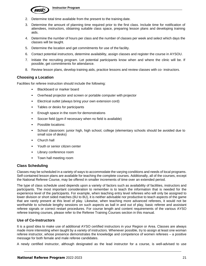

- 2. Determine total time available from the present to the training date.
- 3. Determine the amount of planning time required prior to the first class. Include time for notification of attendees, instructors, obtaining suitable class space, preparing lesson plans and developing training aids.
- 4. Determine the number of hours per class and the number of classes per week and select which days the classes will be taught.
- 5. Determine the location and get commitments for use of the facility.
- 6. Contact potential instructors, determine availability, assign classes and register the course in AYSOU.
- 7. Initiate the recruiting program. Let potential participants know when and where the clinic will be. If possible, get commitments for attendance.
- 8. Review lesson plans, develop training aids, practice lessons and review classes with co- instructors.

## <span id="page-30-0"></span>**Choosing a Location**

Facilities for referee instruction should include the following:

- Blackboard or marker board
- Overhead projector and screen or portable computer with projector
- Electrical outlet (always bring your own extension cord)
- Tables or desks for participants
- Enough space in the room for demonstrations
- Soccer field (gym if necessary when no field is available)
- Possible locations:
- School classroom: junior high, high school, college (elementary schools should be avoided due to small size of desks)
- Church hall
- Youth or senior citizen center
- Library conference room
- Town hall meeting room

## <span id="page-30-1"></span>**Class Scheduling**

Classes may be scheduled in a variety of ways to accommodate the varying conditions and needs of local programs. Self-contained lesson plans are available for teaching the complete courses. Additionally, all of the courses, except the National Referee Course, may be offered in smaller increments of time over an extended period.

The type of class schedule used depends upon a variety of factors such as availability of facilities, instructors and participants. The most important consideration to remember is to teach the information that is needed for the experience level of the participants. For example, when teaching entry level referees who will only be assigned to lower division or short sided matches (6U to 8U), it is neither advisable nor productive to teach aspects of the game that are rarely present at this level of play. Likewise, when teaching more advanced referees, it would not be worthwhile to schedule lengthy sessions on such aspects as ball in and out of play, basic referee and assistant referee signals or correct restart procedures. For course length and content requirements of the various AYSO referee training courses, please refer to the Referee Training Courses section in this manual.

## <span id="page-30-2"></span>**Use of Co-Instructors**

It is a good idea to make use of additional AYSO certified instructors in your Region or Area. Classes are always made more interesting when taught by a variety of instructors. Whenever possible, try to assign at least one woman referee instructor, whose presence demonstrates the knowledge and competence of women referees – a positive message for both female and male referee candidates.

A newly certified instructor, although designated as the lead instructor for a course, is well-advised to use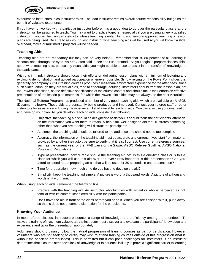

experienced instructors in co-instructor roles. The lead instructor retains overall course responsibility but gains the benefit of valuable experience.

If you have not worked with a particular instructor before, it is a good idea to go over the particular class that the instructor will be assigned to teach. You may want to practice together, especially if you are using a newly qualified instructor. If you will be using an instructor whose teaching is unfamiliar to you, ensure approved teaching or lesson plans are being used. Be sure to ask your guest instructor what teaching aids will be used so you will know if a slide, overhead, movie or multimedia projector will be needed.

# <span id="page-31-0"></span>**Teaching Aids**

Teaching aids are not mandatory but they can be very helpful. Remember that 70-80 percent of all learning is accomplished through the eyes. As Ken Aston said, "I see and I understand." As you begin to prepare classes, think about what teaching aids, particularly visual aids, you might be able to use to assist in the transfer of knowledge to the participants.

With this in mind, instructors should focus their efforts on delivering lesson plans with a minimum of lecturing and exploiting demonstration and guided participation whenever possible. Simply relying on the PowerPoint slides that generally accompany AYSO training courses produces a less-than- satisfactory experience for the attendees, since such slides, although they are visual aids, tend to encourage lecturing. Instructors should treat the lesson plan, not the PowerPoint slides, as the definitive specification of the course content and should focus their efforts on effective presentations of the lesson plan materials, for which the PowerPoint slides may not always be the best visualaid.

The National Referee Program has produced a number of very good teaching aids which are available on [AYSOU](https://aysou.org/) (Document Library). These aids are constantly being produced and improved. Contact your referee staff or other instructors for assistance in finding the most recent list of available teaching aids. You can also use your imagination and develop your own. As you develop teaching aids, consider the following:

- Objective: the teaching aid should be designed to assist you. It should focus the participants' attention on the information you want them to retain. A beautiful, well-designed aid that illustrates something other than what you are teaching will distract the participants.
- Audience: the teaching aid should be tailored to the audience and should not be too complex.
- Accuracy: the information on the teaching aid must be accurate and current. If you start from material provided by another instructor, be sure to verify that it is still correct. Use current reference sources, such as the current year of the IFAB *Laws of the Game,* AYSO Referee Guidline, AYSO National Rules and Regulations.
- Type of presentation: how durable should the teaching aid be? Is this a one-time class or is this a class for which you will use this aid over and over? How important is this presentation? Can you afford to spend hours preparing an aid that will be used for 30 seconds in one presentation?
- Time for preparation: how much time do you have to develop the aid?
- Simplicity: keep the teaching aid simple. A picture is worth a thousand words. A picture of a thousand words isn't worth much.

When using teaching aids, remember the following tips:

- Practice with the teaching aid. An instructor who fumbles with an aid or who is perceived as not familiar with its content loses credibility with the participants.
- Don't have the aid in front of the class before you need it. When you are finished with it, put it away so that is does not become a distraction for the participants.

## <span id="page-31-1"></span>**Knowing Your Audience**

In most referee classes, instructors encounter a range of knowledge and proficiency among the attendees. To make the training of maximum value to all, the instructor must discover and evaluate the participants' knowledge and experience and tailor the presentation appropriately.

Volunteers should ordinarily follow the natural progression of training courses as part of certification. However, volunteers who are not seeking to certify may wish to attend training courses outside of this progression (that is, without the specified prerequisites). This is permitted but it can pose challenges for instructors. If an instructor determines that a course attendee's lack of knowledge or experience is likely to prove a significant barrier to learning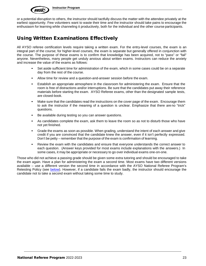

or a potential disruption to others, the instructor should tactfully discuss the matter with the attendee privately at the earliest opportunity. Few volunteers want to waste their time and the instructor should take pains to encourage the enthusiasm for learning while channeling it productively, both for the individual and the other course participants.

# <span id="page-32-0"></span>Using Written Examinations Effectively

All AYSO referee certification levels require taking a written exam. For the entry-level courses, the exam is an integral part of the course; for higher-level courses, the exam is separate but generally offered in conjunction with the course. The purpose of these exams is to confirm that knowledge has been acquired, not to "pass" or "fail" anyone. Nevertheless, many people get unduly anxious about written exams. Instructors can reduce the anxiety and increase the value of the exams as follows:

- Set aside sufficient time for administration of the exam, which in some cases could be on a separate day from the rest of the course.
- Allow time for review and a question-and-answer session before the exam.
- Establish an appropriate atmosphere in the classroom for administering the exam. Ensure that the room is free of distractions and/or interruptions. Be sure that the candidates put away their reference materials before starting the exam. AYSO Referee exams, other than the designated sample tests, are closed-book.
- Make sure that the candidates read the instructions on the cover page of the exam. Encourage them to ask the instructor if the meaning of a question is unclear. Emphasize that there are no "trick" questions.
- Be available during testing so you can answer questions.
- As candidates complete the exam, ask them to leave the room so as not to disturb those who have not yet finished.
- Grade the exams as soon as possible. When grading, understand the intent of each answer and give credit if you are convinced that the candidate knew the answer, even if it isn't perfectly expressed. Don't be petty – remember that the purpose of the exam is confirmation of learning.
- Review the exam with the candidates and ensure that everyone understands the correct answer to each question. (Answer keys provided for most exams include explanations with the answers.) In some cases, it may be appropriate or necessary to go over individual exams one-on-one.

Those who did not achieve a passing grade should be given some extra tutoring and should be encouraged to take the exam again. Have a plan for administering the exam a second time. Most exams have two different versions available – use a different version the second time in accordance with the AYSO National Referee Program's Retesting Policy (see [below\)](#page-33-0). However, if a candidate fails the exam badly, the instructor should encourage the candidate not to take a second exam without taking some time to study.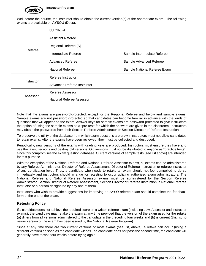

Well before the course, the instructor should obtain the current version(s) of the appropriate exam. The following exams are available on AYSOU (Docs):

|            | 8U Official                 |                              |
|------------|-----------------------------|------------------------------|
|            | <b>Assistant Referee</b>    |                              |
|            | Regional Referee [S]        |                              |
| Referee    | Intermediate Referee        | Sample Intermediate Referee  |
|            | <b>Advanced Referee</b>     | Sample Advanced Referee      |
|            | <b>National Referee</b>     | Sample National Referee Exam |
|            | Referee Instructor          |                              |
| Instructor | Advanced Referee Instructor |                              |
| Assessor   | Referee Assessor            |                              |
|            | National Referee Assessor   |                              |

Note that the exams are password-protected, except for the Regional Referee and below and sample exams. Sample exams are not password-protected so that candidates can become familiar in advance with the kinds of questions that will appear on the exam. Answer keys for sample exams are password-protected to give instructors the option of using the sample exams as a "pre-test" for which the answers are given in the classroom. Instructors may obtain the passwords from their Section Referee Administrator or Section Director of Referee Instruction.

To preserve the utility of the database from which exam questions are drawn, instructors must not allow candidates to retain exams. After the exams have been reviewed, they must be collected and destroyed.

Periodically, new versions of the exams with grading keys are produced. Instructors must ensure they have and use the latest versions and destroy old versions. Old versions must not be distributed to anyone as "practice tests", since this compromises the exam question database. Current versions of sample tests (see list above) are intended for this purpose.

With the exception of the National Referee and National Referee Assessor exams, all exams can be administered by any Referee Administrator, Director of Referee Assessment, Director of Referee Instruction or referee instructor of any certification level. Thus, a candidate who needs to retake an exam should not feel compelled to do so immediately and instructors should arrange for retesting to occur utilizing authorized exam administrators. The National Referee and National Referee Assessor exams must be administered by the Section Referee Administrator, Section Director of Referee Assessment, Section Director of Referee Instruction, a National Referee Instructor or a person designated by any one of them.

Instructors who wish to provide suggestions for improving an AYSO referee exam should complete the feedback form at the end of the exam.

# <span id="page-33-0"></span>**Retesting Policy**

If a candidate does not achieve the required score on a written referee exam (including Law, Assessor and Instructor exams), the candidate may retake the exam at any time provided that the version of the exam used for the retake (a) differs from all versions administered to the candidate in the preceding four weeks and (b) is current (that is, no newer version of the exam has been issued by the National Referee Program).

Since at any time there are two current versions of most exams (see list, above), a retake can occur (using a different version) as soon as the candidate wishes. If a candidate does not pass the second time, the candidate will generally have to wait four weeks before trying again.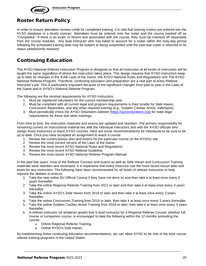<span id="page-34-0"></span>

In order to ensure attendees receive credit for completed training, it is vital that training rosters are entered into the AYSO database in a timely manner. Attendees must be entered onto the roster and the course marked off as "Completed." If there is an exam or fitness test associated with the course, they must be checked off separately from the course modules. Any lead instructor who has failed to account for a roster within the sixty-day period following the scheduled training date may be subject to being suspended until the past due roster is returned or its status satisfactorily resolved.

# <span id="page-34-1"></span>Continuing Education

The AYSO National Referee Instruction Program is designed so that all instruction at all levels of instruction will be taught the same regardless of where the instruction takes place. This design requires that AYSO instructors keep up to date on changes in the IFAB Laws of the Game, the AYSO National Rules and Regulations and The AYSO National Referee Program. Therefore, continuing education and preparation are a vital part of every Referee Instructor's job. This is particularly important because of the significant changes from year to year in the Laws of the Game and in AYSO's National Referee Program.

The following are the minimal requirements for AYSO Instructors:

- 1. Must be registered volunteers for the current membership year
- 2. Must be compliant with all current legal and program requirements in their locality for Safe Haven, Concussion Awareness, and any other required training (e.g., Sudden Cardiac Arrest, SafeSport).
- 3. Must periodically check the AYSO Volunteers website [\(https://aysovolunteers.org\)](https://aysovolunteers.org/) for state legal requirements for these and other trainings.

From time to time, the instruction materials and exams are updated and rewritten. The primary responsibility for remaining current on instructional material lies with the individual instructors and with the AYSO officials who assign those instructors to teach AYSO courses. Here are some recommendations for individuals to be sure to be up to date. Once you have accepted an assignment to teach a course

- 1. Review the current lesson plan and exams for the particular course on the AYSOU site.
- 2. Review the most current version of the Laws of the Game
- 3. Review the most recent AYSO National Rules and Regulations
- 4. Review the most recent AYSO Referee Guideline
- 5. Review the most recent AYSO National Referee Program Manual

In the past few years, most of the Referee Courses and exams as well as Safe Haven and Concussion Training materials were rewritten and revamped. It is imperative that every instructor use the most recent lesson plan and exam for any instruction. The following have been recommended for all levels of referee instructors to help improve the abilities to instruct.

- 1. Take the new online 8U Official Course if they have not done so and then take it at least once every 3 years thereafter.
- 2. Take the online Regional Referee Training from 2021 or later and then take it at least once every 3 years thereafter.
- 3. Take the online AYSO's Safe Haven from 2019 or later and then take it at least once every 3 years thereafter.
- 4. Take the online Concussion Training from 2019 or later, then take it at least once every 3 years thereafter.
- 5. Take the online Sudden Cardiac Arrest Training from 2019 or later, then take it at least once every 3 years thereafter.
- 6. A referee instructor (of whatever grade) that is lead instructor for a Regional Referee Course, whether full course or companion course, is encouraged to take the following within the 12 months preceding the course:
	- a. Online Regional Referee Training.
	- b. Online AYSO's Safe Haven.

By implementing these continuing education recommendations, we can allow AYSO to be one of the best soccer referee training programs in the United States.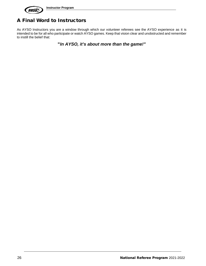

# <span id="page-35-0"></span>A Final Word to Instructors

As AYSO Instructors you are a window through which our volunteer referees see the AYSO experience as it is intended to be for all who participate or watch AYSO games. Keep that vision clear and unobstructed and remember to instill the belief that:

**"***In AYSO, it's about more than the game!"*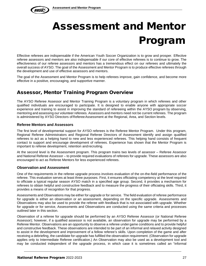

# Assessment and Mentor Program

Effective referees are indispensable if the American Youth Soccer Organization is to grow and prosper. Effective referee assessors and mentors are also indispensable if our core of effective referees is to continue to grow. The effectiveness of our referee assessors and mentors has a tremendous effect on our referees and ultimately the overall success of AYSO. The goal of the Assessment and Mentor Program is to produce effective referees through the development and use of effective assessors and mentors.

The goal of the Assessment and Mentor Program is to help referees improve, gain confidence, and become more effective in a positive, encouraging, and supportive manner.

# Assessor, Mentor Training Program Overview

The AYSO Referee Assessor and Mentor Training Program is a voluntary program in which referees and other qualified individuals are encouraged to participate. It is designed to enable anyone with appropriate soccer experience and training to assist in improving the standard of refereeing within the AYSO program by observing, mentoring and assessing our volunteer referees. Assessors and mentors need not be current referees. The program is administered by AYSO Directors ofRefereeAssessment at the Regional, Area, and Section levels.

# **Referee Mentors and Assessors**

The first level of developmental support for AYSO referees is the Referee Mentor Program. Under this program, Regional Referee Administrators and Regional Referee Directors of Assessment identify and assign qualified referees to act as a helping hand to new and less experienced referees. This helping hand consists of frequent contact to support and encourage development of referees. Experience has shown that the Mentor Program is important to referee development, retention andrecruiting.

At the second level is the Assessment program. This program trains two levels of assessor – Referee Assessor and National Referee Assessor – to provide required evaluations of referees for upgrade. These assessors are also encouraged to act as Referee Mentors for less experienced referees.

# **Observation and Assessment**

One of the requirements in the referee upgrade process involves evaluation of the on-the-field performance of the referee. This evaluation serves at least three purposes. First, it ensures officiating competency at the level required to officiate a typical regular season AYSO match in a specified age group. Second, it provides a mechanism for referees to obtain helpful and constructive feedback and to measure the progress of their officiating skills. Third, it provides a means of recognition for that progress.

Assessments and Observations may be either for upgrade or for service. The field evaluation of referee performance for upgrade is either an observation or an assessment, depending on the specific upgrade. Assessments and Observations may also be used to provide the referee with feedback that is not associated with upgrade. Whether for upgrade or for service, Assessments and Observations are conducted using the same criteria and processes outlined later in this section.

Observation of a referee for upgrade should be performed by an AYSO Referee Assessor (or National Referee Assessor); however, if a qualified assessor is not available, an observation for upgrade may be performed by a Referee Mentor. Observations are an opportunity to observe a referee under game conditions and to provide helpful and constructive feedback. These observations are intended to be part of an informal and relaxed activity designed to assist in the development and improvement of a fellow referee's skills. Upon completion of the game and after receiving a debriefing, the candidate for upgrade has fulfilled the observation requirement. (Observation for upgrade applies only to Intermediate Referee certification.) An Observation may also be used as a development tool and may be conducted independent of the upgrade process, in which case it is sometimes called an "informal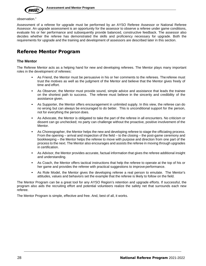

observation."

Assessment of a referee for upgrade must be performed by an AYSO Referee Assessor or National Referee Assessor. An upgrade assessment is an opportunity for the assessor to observe a referee under game conditions, evaluate his or her performance and subsequently provide balanced, constructive feedback. The assessor also decides whether the referee has demonstrated the skills and proficiency necessary for upgrade. Both the requirements for upgrade and the training and development of assessors are described later in this section.

# Referee Mentor Program

# **The Mentor**

The Referee Mentor acts as a helping hand for new and developing referees. The Mentor plays many important roles in the development of referees:

- As Friend, the Mentor must be persuasive in his or her comments to the referees. Thereferee must trust the motives as well as the judgment of the Mentor and believe that the Mentor gives freely of time and effort.
- As Observer, the Mentor must provide sound, simple advice and assistance that leads the trainee on the shortest path to success. The referee must believe in the sincerity and credibility of the assistance given.
- As Supporter, the Mentor offers encouragement in unlimited supply. In this view, the referee can do no wrong but can always be encouraged to do better. This is unconditional support for the person, not for everything the person does.
- As Advocate, the Mentor is obligated to take the part of the referee in all encounters. No criticism or dissent can go unchecked; no party can challenge without the proactive, positive involvement of the Mentor.
- As Choreographer, the Mentor helps the new and developing referee to stage the officiating process. From the opening – arrival and inspection of the field – to the closing – the post-game ceremony and bookkeeping – the Mentor helps the referee to move with purpose and direction from one part of the process to the next. The Mentor also encourages and assists the referee in moving through upgrades in certification.
- As Advisor, the Mentor provides accurate, factual information that gives the referee additional insight and understanding.
- As Coach, the Mentor offers tactical instructions that help the referee to operate at the top of his or her game and provides the referee with practical suggestions to improve performance.
- As Role Model, the Mentor gives the developing referee a real person to emulate. The Mentor's attitudes, values and behaviors set the example that the referee is likely to follow on the field.

The Mentor Program can be a great tool for any AYSO Region's retention and upgrade efforts. If successful, the program also aids the recruiting effort and potential volunteers realize the safety net that surrounds each new referee.

The Mentor Program is simple, effective and free. And, best of all, it works.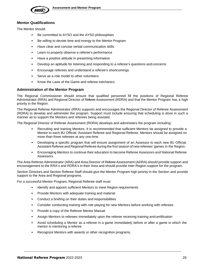

# **Mentor Qualifications**

The Mentor should:

- Be committed to AYSO and the AYSO philosophies
- Be willing to devote time and energy to the Mentor Program
- Have clear and concise verbal communication skills
- Learn to properly observe a referee's performance
- Have a positive attitude in presenting information
- Develop an aptitude for listening and responding to a referee's questions and concerns
- Encourage referees and understand a referee's shortcomings
- Serve as a role model to other volunteers
- Know the Laws of the Game and referee mechanics

# **Administration of the Mentor Program**

The Regional Commissioner should ensure that qualified personnel fill the positions of Regional Referee Administrator (RRA) and Regional Director of Referee Assessment (RDRA) and that the Mentor Program has a high priority in the Region.

The Regional Referee Administrator (RRA) supports and encourages the Regional Director of Referee Assessment (RDRA) to develop and administer the program. Support must include ensuring that scheduling is done in such a manner as to support the Mentors and referees being assisted.

The Regional Director of Referee Assessment (RDRA) develops and administers the program including:

- Recruiting and training Mentors. It is recommended that sufficient Mentors be assigned to provide a Mentor to each 8U Official, Assistant Referee and Regional Referee. Mentors should be assigned no more than three referees at any one time.
- Developing a specific program that will ensure assignment of an Assessor to each new 8U Official, Assistant Referee and Regional Referee during the first season of new referees' games in the Region.
- Encouraging Mentors to continue their education to become Referee Assessors and National Referee Assessors.

The Area Referee Administrator (ARA) and Area Director of Referee Assessment (ADRA) should provide support and encouragement to the RRA's and RDRA's in their Area and should provide inter-Region support for the program.

Section Directors and Section Referee Staff should give the Mentor Program high priority in the Section and provide support to the Area and Regional programs.

For a successful Mentor Program, Regional Referee staff must:

- Identify and appoint sufficient Mentors to meet Region requirements
- Provide Mentors with adequate training and material
- Conduct a briefing on their duties and responsibilities
- Consider conducting training with role playing for new Mentors before working with referees
- Provide a copy of the Referee Mentor Manual
- Assign Mentors to referees immediately upon the referee receiving training andcertification
- Avoid scheduling a Mentor as a referee in a game immediately before or after a game in which the mentor is mentoring a referee
- Recognize Mentors with awards or other recognition programs.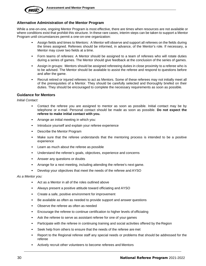

# **Alternative Administration of the Mentor Program**

While a one-on-one, ongoing Mentor Program is most effective, there are times when resources are not available or where conditions exist that prohibit this structure. In these rare cases, interim steps can be taken to support a Mentor Program until circumstances permit a one-on-one organization:

- Assign fields and times to Mentors: A Mentor will observe and support all referees on the fields during the times assigned. Referees should be informed, in advance, of the Mentor's role. If necessary, a Mentor may cover two fields at a time.
- Form teams of referees: A Mentor should be assigned to a team of referees who will rotate duties during a series of games. The Mentor should give feedback at the conclusion of the series of games.
- Assign in groups: Mentors should be assigned refereeing duties in close proximity to a referee who is to be advised. The Mentor should be available to assist the referee and respond to questions before and after the game.
- Recruit retired or injured referees to act as Mentors. Some of these referees may not initially meet all of the prerequisites of a Mentor. They should be carefully selected and thoroughly briefed on their duties. They should be encouraged to complete the necessary requirements as soon as possible.

#### **Guidance for Mentors**

*Initial Contact:*

- Contact the referee you are assigned to mentor as soon as possible. Initial contact may be by telephone or e-mail. Personal contact should be made as soon as possible. **Do not expect the referee to make initial contact with you.**
- Arrange an initial meeting in which you:
- Introduce yourself and explain your referee experience
- Describe the Mentor Program
- Make sure that the referee understands that the mentoring process is intended to be a positive experience
- Learn as much about the referee as possible
- Understand the referee's goals, objectives, experience and concerns
- Answer any questions or doubts
- Arrange for a next meeting, including attending the referee's next game.
- Develop your objectives that meet the needs of the referee and AYSO

#### *As a Mentor you:*

- Act as a Mentor in all of the roles outlined above
- Always present a positive attitude toward officiating and AYSO
- Create a safe, positive environment for improvement
- Be available as often as needed to provide support and answer questions
- Observe the referee as often as needed
- Encourage the referee to continue certification to higher levels of officiating
- Ask the referee to serve as assistant referee for one of your games
- Participate with the referee in continuing training and social activities offered by the Region
- Seek help from others to ensure that the needs of the referee are met
- Report to the Regional referee staff any special needs or problems that should be addressed for the referee
- Actively recruit other volunteers to become referees and Mentors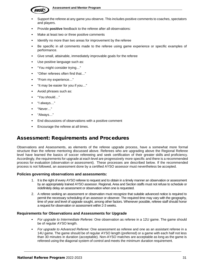

- Support the referee at any game you observe. This includes positive comments to coaches, spectators and players.
- Provide **positive** feedback to the referee after all observations:
- Make at least two or three positive comments
- Identify no more than two areas for improvement by the referee
- Be specific in all comments made to the referee using game experience or specific examples of performance.
- Give small, attainable, immediately improvable goals for the referee
- Use positive language such as:
- "You might consider trying…"
- "Other referees often find that…"
- "From my experience…"
- "It may be easier for you if you…"
- Avoid phrases such as:
- "You should…"
- "I always…"
- "Never…"
- "Always…"
- End discussions of observations with a positive comment
- Encourage the referee at all times.

# Assessment: Requirements and Procedures

Observations and Assessments, as elements of the referee upgrade process, have a somewhat more formal structure than the referee mentoring discussed above. Referees who are upgrading above the Regional Referee level have learned the basics of soccer refereeing and seek certification of their greater skills and proficiency. Accordingly, the requirements for upgrade at each level are progressively more specific and there is a recommended process for evaluation (observation or assessment). These processes are described below. If the recommended process is not followed, an assessment done by a certified AYSO assessor must nevertheless be accepted.

#### **Policies governing observations and assessments:**

- 1. It is the right of every AYSO referee to request and to obtain in a timely manner an observation or assessment by an appropriately trained AYSO assessor. Regional, Area and Section staffs must not refuse to schedule or indefinitely delay an assessment or observation when one is requested.
- 2. A referee seeking an assessment or observation must recognize that suitable advanced notice is required to permit the necessary scheduling of an assessor or observer. The required time may vary with the geography, time of year and level of upgrade sought, among other factors. Whenever possible, referee staff should honor a request for observation or assessment within 2-3 weeks.

# **Requirements for Observations and Assessments for Upgrade**

- *For upgrade to Intermediate Referee:* One observation as referee in a 12U game. The game should be of regular AYSO length.
- *For upgrade to Advanced Referee:* One assessment as referee and one as an assistant referee in a 14U game. The game should be of regular AYSO length (preferred) or a game with each half not less than 30 minutes in duration (acceptable). Non-AYSO matches are acceptable as long as the game is refereed using the diagonal system of control and meets the minimum duration requirement.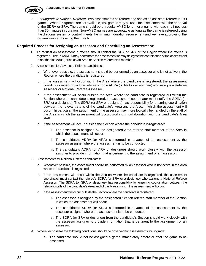

• *For upgrade to National Referee:* Two assessments as referee and one as an assistant referee in 19U games. When 19Ugames are not available, 16U games may be used for assessment with the approval of the SDRA or SRA. The game should be of regular AYSO length or a game with each half not less than 30 minutes in duration. Non-AYSO games are acceptable as long as the game is refereed using the diagonal system of control, meets the minimum duration requirement and we have approval of the organization authorizing the match.

# **Required Process for Assigning an Assessor and Scheduling an Assessment:**

- 1. To request an assessment, a referee should contact the RDA or RRA of the Region where the referee is registered. The RDA/RRA may coordinate the assessment or may delegate the coordination of the assessment to another individual, such as an Area or Section referee staff member.
- 2. Assessments for Advanced Referee candidates:
	- a. Whenever possible, the assessment should be performed by an assessor who is not active in the Region where the candidate is registered.
	- b. If the assessment will occur within the Area where the candidate is registered, the assessment coordinator must contact the referee's home ADRA (or ARA or a designee) who assigns a Referee Assessor or National Referee Assessor.
	- c. If the assessment will occur outside the Area where the candidate is registered but within the Section where the candidate is registered, the assessment coordinator must notify the SDRA (or SRA or a designee). The SDRA (or SRA or designee) has responsibility for ensuring coordination between the relevant staffs of the candidate's Area and the Area in which the assessment will occur. In particular, the assignment of the assessor may more logically be handled by the staff of the Area in which the assessment will occur, working in collaboration with the candidate's Area staff.
	- d. If the assessment will occur outside the Section where the candidate is registered:
		- i. The assessor is assigned by the designated Area referee staff member of the Area in which the assessment will occur.
		- ii. The candidate's ADRA (or ARA) is informed in advance of the assessment by the assessor assigner where the assessment is to be conducted.
		- iii. The candidate's ADRA (or ARA or designee) should work closely with the assessor assigner to provide information that is pertinent to the assignment of an assessor.
- 3. Assessments for National Referee candidates:
	- a. Whenever possible, the assessment should be performed by an assessor who is not active in the Area where the candidate is registered.
	- b. If the assessment will occur within the Section where the candidate is registered, the assessment coordinator must contact the referee's SDRA (or SRA or a designee) who assigns a National Referee Assessor. The SDRA (or SRA or designee) has responsibility for ensuring coordination between the relevant staffs of the candidate's Area and of the Area in which the assessment will occur.
	- c. If the assessment will occur outside the Section where the candidate isregistered:
		- iv. The assessor is assigned by the designated Section referee staff member of the Section in which the assessment will occur.
		- v. The candidate's SDRA (or SRA) is informed in advance of the assessment by the assessor assigner where the assessment is to be conducted.
		- vi. The SDRA (or SRA or designee) from the candidate's Section should work closely with the assessor assigner to provide information that is pertinent to the assignment of an assessor.
- 4. Wherever possible the following conditions should be observed for assessments for upgrade:
	- a. The candidate should not be assigned a game immediately before or after the game to be assessed.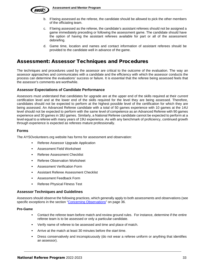

- b. If being assessed as the referee, the candidate should be allowed to pick the other members of the officiating team.
- c. If being assessed as the referee, the candidate's assistant referees should not be assigned a game immediately preceding or following the assessment game. The candidate should have the option of having the assistant referees available for part or all of the assessment debriefing.
- d. Game time, location and names and contact information of assistant referees should be provided to the candidate well in advance of the game.

# Assessment: Assessor Techniques and Procedures

The techniques and procedures used by the assessor are critical to the outcome of the evaluation. The way an assessor approaches and communicates with a candidate and the efficiency with which the assessor conducts the process can determine the evaluations' success or failure. It is essential that the referee being assessed feels that the assessor's comments are worthwhile.

# <span id="page-42-0"></span>**Assessor Expectations of Candidate Performance**

Assessors must understand that candidates for upgrade are at the upper end of the skills required at their *current*  certification level and at the lower end of the skills required for the level they are being assessed. Therefore, candidates should not be expected to perform at the highest possible level of the certification for which they are being assessed. An Advanced Referee candidate with a total of 50 games experience with 10 games at the 14U level should not be expected to perform with the same level of competence as an Advanced Referee with 90 games experience and 30 games in 16U games. Similarly, a National Referee candidate cannot be expected to perform at a level equal to a referee with many years of 19U experience. As with any benchmark of proficiency, continued growth through experience is expected as referees mature professionally.

# **Forms**

The AYSOvolunteers.org website has forms for assessment and observation:

- Referee Assessor Upgrade Application
- Assessment Field Worksheet
- Referee Assessment Checklist
- Referee Observation Worksheet
- Assessment Verification Form
- Assistant Referee Assessment Checklist
- Assessment Feedback Form
- Referee Physical Fitness Test

# <span id="page-42-1"></span>**Assessor Techniques and Guidelines**

Assessors should observe the following practices, which generally apply to both assessments and observations (see specific exceptions in the section ["Concerning Observations"](#page-45-0) on page 36.

#### **Pre-Game**

- Contact the referee team before match and review ground rules. For instance, determine if the entire referee team is to be assessed or only a particular candidate.
- Verify name of referee to be assessed and time and place of match.
- Arrive at the match at least 30 minutes before the start time.
- Dress conservatively and inconspicuously (do not wear a referee uniform or anything that identifies an assessor).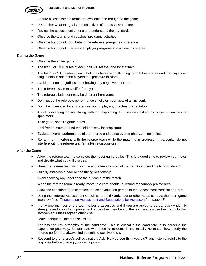

#### **Assessment and Mentor Program**

- Ensure all assessment forms are available and brought to the game.
- Remember what the goals and objectives of the assessment are.
- Review the assessment criteria and understand the standard.
- Observe the teams' and coaches' pre-game activities
- Observe but do not contribute to the referees' pre-game conference.
- Observe but do not interfere with player pre-game instructions by referee.

#### **During the Game**

- Observe the entire game:
- $\circ$  The first 5 or 10 minutes of each half will set the tone for that half.
- $\circ$  The last 5 or 10 minutes of each half may become challenging to both the referee and the players as fatigue sets in and if the players feel pressure to score.
- Avoid personal prejudices and showing any negative reactions.
- The referee's style may differ from yours.
- The referee's judgment may be different from yours.
- Don't judge the referee's performance strictly on your view of an incident.
- Don't be influenced by any over-reaction of players, coaches or spectators.
- Avoid conversing or socializing with or responding to questions asked by players, coaches or spectators.
- Take good, specific game notes.
- Feel free to move around the field but stay inconspicuous.
- Evaluate overall performance of the referee and do not overemphasize minor points.
- Refrain from interfering with the referee team while the match is in progress. In particular, do not interfere with the referee team's half-time discussions.

#### **After the Game**

- Allow the referee team to complete their post-game duties. This is a good time to review your notes and decide what you will discuss.
- Greet the referee team with a smile and a friendly word of thanks. Give them time to "cool down".
- Quickly establish a peer or consulting relationship.
- Avoid showing any reaction to the outcome of the match.
- When the referee team is ready, move to a comfortable, quietand reasonably private area.
- Allow the candidate(s) to complete the self-evaluation portion of the Assessment Verification Form.
- Using the Referee Assessment Checklist, a Field Worksheet or other notes conduct the post- game interview (see ["Thoughts on Assessment and Suggestions for Assessors"](#page-57-0) on page 47).
- If only one member of the team is being assessed and if you are asked to do so, quickly identify strengths and areas for improvement of the other members of the team and excuse them from further involvement unless agreed otherwise.
- Leave adequate time for discussion.
- Address the key strengths of the candidate. This is critical if the candidate is to perceive the experience positively. Substantiate with specific incidents in the match. No matter how poorly the referee performed, always find something positive to say.
- Respond to the referee's self-evaluation. Ask "How do you think you did?" and listen carefully to the response before offering your own opinion.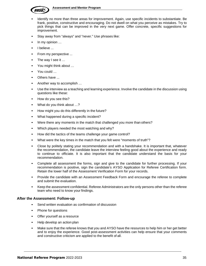

- Identify no more than three areas for improvement. Again, use specific incidents to substantiate. Be frank, positive, constructive and encouraging. Do not dwell on what you perceive as mistakes. Try to pick things that can be improved in the very next game. Offer concrete, specific suggestions for improvement.
- Stay away from "always" and "never." Use phrases like:
- In my opinion ...
- I believe ...
- From my perspective ...
- The way I see it ...
- You might think about …
- You could …
- Others have ...
- Another way to accomplish …
- Use the interview as a teaching and learning experience. Involve the candidate in the discussion using questions like these:
- How do you see this?
- What do you think about ...?
- How might you do this differently in the future?
- What happened during a specific incident?
- Were there any moments in the match that challenged you more than others?
- Which players needed the most watching and why?
- How did the tactics of the teams challenge your game control?
- What were the key times in the match that you felt were "moments of truth"?
- Close by politely stating your recommendation and with a handshake. It is important that, whatever the recommendation, the candidate leave the interview feeling good about the experience and ready to continue to officiate. It is also important that the candidate understand the basis for your recommendation.
- Complete all assessment the forms, sign and give to the candidate for further processing. If your recommendation is positive, sign the candidate's AYSO Application for Referee Certification form. Retain the lower half of the Assessment Verification Form for your records.
- Provide the candidate with an Assessment Feedback Form and encourage the referee to complete and submit the evaluation.
- Keep the assessment confidential. Referee Administrators are the only persons other than the referee team who need to know your findings.

#### **After the Assessment: Follow-up**

- Send written evaluation as confirmation of discussion
- Phone for questions
- Offer yourself as a resource
- Help develop an action plan
- Make sure that the referee knows that you and AYSO have the resources to help him or her get better and to enjoy the experience. Good post-assessment activities can help ensure that your comments and constructive criticism are applied to the benefit of all.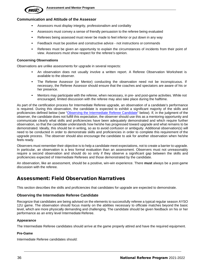

# **Communication and Attitude of the Assessor**

- Assessors must display integrity, professionalism and cordiality
- Assessors must convey a sense of friendly persuasion to the referee being evaluated
- Referees being assessed must never be made to feel inferior or put down in any way
- Feedback must be positive and constructive advice not instructions or commands
- Referees must be given an opportunity to explain the circumstances of incidents from their point of view. Assessors must show respect for the referee's opinion.

#### <span id="page-45-0"></span>**Concerning Observations**

Observations are unlike assessments for upgrade in several respects:

- An observation does not usually involve a written report. A Referee Observation Worksheet is available to the observer.
- The Referee Assessor (or Mentor) conducting the observation need not be inconspicuous. If necessary, the Referee Assessor should ensure that the coaches and spectators are aware of his or her presence.
- Mentors may participate with the referee, when necessary, in pre- and post-game activities. While not encouraged, limited discussion with the referee may also take place during the halftime.

As part of the certification process for Intermediate Referee upgrade, an observation of a candidate's performance is required. During this observation, the candidate is expected to exhibit a significant majority of the skills and proficiencies defined below (see ["Observing the Intermediate Referee Candidate"](#page-45-1) below). If, in the judgment of the observer, the candidate does not fulfill this expectation, the observer should use this as a mentoring opportunity and communicate clearly what skills and proficiencies have been adequately demonstrated and which require further observation, so that the candidate understands how he/she has progressed toward upgrade and what remains to be demonstrated. Ideally, this should be in writing, so as to avoid confusion or ambiguity. Additional observation(s) will need to be conducted in order to demonstrate skills and proficiencies in order to complete this requirement of the upgrade process. The observer should also encourage the candidate to ask for another observation when he/she feels ready.

Observers must remember their objective is to help a candidate meet expectations, not to create a barrier to upgrade. In particular, an observation is a less formal evaluation than an assessment. Observers must not unreasonably require a second observation and should do so only if they observe a significant gap between the skills and proficiencies expected of Intermediate Referees and those demonstrated by the candidate.

An observation, like an assessment, should be a positive, win-win experience. There **must** always be a post-game discussion with the referee.

# <span id="page-45-2"></span>Assessment: Field Observation Narratives

This section describes the skills and proficiencies that candidates for upgrade are expected to demonstrate.

# <span id="page-45-1"></span>**Observing the Intermediate Referee Candidate**

Recognize that candidates are being advised on the elements to successfully referee a typical regular season AYSO 12U game. The observation should focus mainly on the abilities necessary to officiate matches beyond the basic level, which are more physically demanding and challenging. The candidate should be given feedback on his or her performance as an entry level Intermediate Referee.

# **Appearance**

The Intermediate Referee candidates should arrive at the game properly attired and have the required equipment.

#### **Pre-Game**

Intermediate Referee candidates should: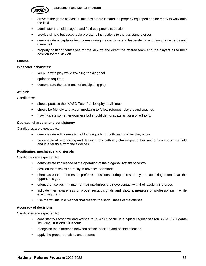

- arrive at the game at least 30 minutes before it starts, be properly equipped and be ready to walk onto the field
- administer the field, players and field equipment inspection
- provide simple but acceptable pre-game instructions to the assistant referees
- demonstrate acceptable techniques during the coin toss and leadership in acquiring game cards and game ball
- properly position themselves for the kick-off and direct the referee team and the players as to their position for the kick-off

#### **Fitness**

In general, candidates:

- keep up with play while traveling the diagonal
- sprint as required
- demonstrate the rudiments of anticipating play

#### **Attitude**

Candidates:

- should practice the "AYSO Team" philosophy at all times
- should be friendly and accommodating to fellow referees, players and coaches
- may indicate some nervousness but should demonstrate an aura of authority

#### **Courage, character and consistency**

Candidates are expected to:

- demonstrate willingness to call fouls equally for both teams when they occur
- be capable of recognizing and dealing firmly with any challenges to their authority on or off the field and interference from the sidelines

#### **Positioning, mechanics and signals**

Candidates are expected to:

- demonstrate knowledge of the operation of the diagonal system of control
- position themselves correctly in advance of restarts
- direct assistant referees to preferred positions during a restart by the attacking team near the opponent's goal
- orient themselves in a manner that maximizes their eye contact with their assistantreferees
- indicate their awareness of proper restart signals and show a measure of professionalism while executing them
- use the whistle in a manner that reflects the seriousness of the offense

#### **Accuracy of decisions**

Candidates are expected to:

- consistently recognize and whistle fouls which occur in a typical regular season AYSO 12U game including DFK and IDFK fouls
- recognize the difference between offside position and offside offenses
- apply the proper penalties and restarts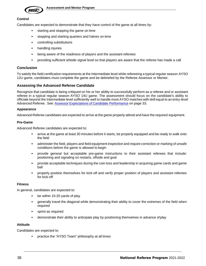

# **Control**

Candidates are expected to demonstrate that they have control of the game at all times by:

- starting and stopping the game on time
- stopping and starting quarters and halves on time
- controlling substitutions
- handling injuries
- being aware of the readiness of players and the assistant referees
- providing sufficient whistle signal level so that players are aware that the referee has made a call

# **Conclusion**

To satisfy the field certification requirements at the Intermediate level while refereeing a typical regular season AYSO 12U game, candidates must complete the game and be debriefed by the Referee Assessor or Mentor.

# **Assessing the Advanced Referee Candidate**

Recognize that candidate is being critiqued on his or her ability to successfully perform as a referee and or assistant referee in a typical regular season AYSO 14U game. The assessment should focus on the candidate's ability to officiate beyond the Intermediate level sufficiently well to handle most AYSO matches with skill equal to an entry-level Advanced Referee. See: Assessor Expectations of [Candidate Performance](#page-42-0) on page 33.

#### **Appearance**

Advanced Referee candidates are expected to arrive at the game properly attired and have the required equipment.

#### **Pre-Game**

Advanced Referee candidates are expected to:

- arrive at the game at least 30 minutes before it starts, be properly equipped and be ready to walk onto the field
- administer the field, players and field equipment inspection and require correction or marking of unsafe conditions before the game is allowed to begin
- provide general but acceptable pre-game instructions to their assistant referees that include: positioning and signaling on restarts, offside and goal
- provide acceptable techniques during the coin toss and leadership in acquiring game cards and game ball
- properly position themselves for kick-off and verify proper position of players and assistant referees for kick-off

#### **Fitness**

In general, candidates are expected to:

- be within 15-20 yards of play
- generally travel the diagonal while demonstrating their ability to cover the extremes of the field when required
- sprint as required
- demonstrate their ability to anticipate play by positioning themselves in advance ofplay

#### **Attitude**

Candidates are expected to:

• practice the "AYSO Team" philosophy at all times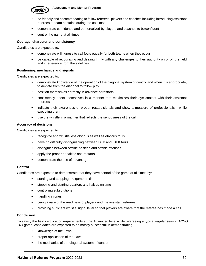

- be friendly and accommodating to fellow referees, players and coaches including introducing assistant referees to team captains during the coin toss
- demonstrate confidence and be perceived by players and coaches to be confident
- control the game at all times

#### **Courage, character and consistency**

Candidates are expected to:

- demonstrate willingness to call fouls equally for both teams when they occur
- be capable of recognizing and dealing firmly with any challenges to their authority on or off the field and interference from the sidelines

#### **Positioning, mechanics and signals**

Candidates are expected to:

- demonstrate knowledge of the operation of the diagonal system of control and when it is appropriate, to deviate from the diagonal to follow play
- position themselves correctly in advance of restarts
- consistently orient themselves in a manner that maximizes their eye contact with their assistant referees
- indicate their awareness of proper restart signals and show a measure of professionalism while executing them
- use the whistle in a manner that reflects the seriousness of the call

#### **Accuracy of decisions**

Candidates are expected to:

- recognize and whistle less obvious as well as obvious fouls
- have no difficulty distinguishing between DFK and IDFK fouls
- distinguish between offside position and offside offenses
- apply the proper penalties and restarts
- demonstrate the use of advantage

#### **Control**

Candidates are expected to demonstrate that they have control of the game at all times by:

- starting and stopping the game on time
- stopping and starting quarters and halves on time
- controlling substitutions
- handling injuries
- being aware of the readiness of players and the assistant referees
- providing sufficient whistle signal level so that players are aware that the referee has made a call

#### **Conclusion**

To satisfy the field certification requirements at the Advanced level while refereeing a typical regular season AYSO 14U game, candidates are expected to be mostly successful in demonstrating:

- knowledge of the Laws
- proper application of the Law
- the mechanics of the diagonal system of control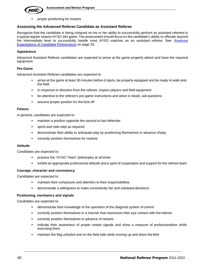

• proper positioning for restarts

# **Assessing the Advanced Referee Candidate as Assistant Referee**

Recognize that the candidate is being critiqued on his or her ability to successfully perform as assistant referees in a typical regular season AYSO 14U game. The assessment should focus on the candidate's ability to officiate beyond the Intermediate level to successfully handle most AYSO matches as an assistant referee. See: [Assessor](#page-42-0) [Expectations of Candidate Performance](#page-42-0) on page 33.

#### **Appearance**

Advanced Assistant Referee candidates are expected to arrive at the game properly attired and have the required equipment.

#### **Pre-Game**

Advanced Assistant Referee candidates are expected to:

- arrive at the game at least 30 minutes before it starts, be properly equipped and be ready to walk onto the field
- in response to direction from the referee, inspect players and field equipment
- be attentive to the referee's pre-game instructions and when in doubt, ask questions
- assume proper position for the kick-off

#### **Fitness**

In general, candidates are expected to:

- maintain a position opposite the second to last defender
- sprint and side-step as required
- demonstrate their ability to anticipate play by positioning themselves in advance ofplay
- correctly position themselves for restarts

#### **Attitude**

Candidates are expected to:

- practice the "AYSO Team" philosophy at all times
- exhibit an appropriate professional attitude and a spirit of cooperation and support for the referee team

#### **Courage, character and consistency**

Candidates are expected to:

- maintain their composure and attention to their responsibilities
- demonstrate a willingness to make consistently fair and unbiased decisions

#### **Positioning, mechanics and signals**

Candidates are expected to:

- demonstrate their knowledge of the operation of the diagonal system of control
- correctly position themselves in a manner that maximizes their eye contact with thereferee
- correctly position themselves in advance of restarts
- indicate their awareness of proper restart signals and show a measure of professionalism while executing them
- maintain the flag unfurled and on the field side while moving up and down the field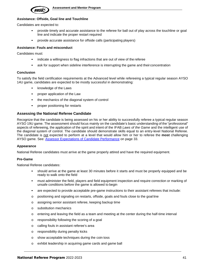

# **Assistance: Offside, Goal line and Touchline**

Candidates are expected to:

- provide timely and accurate assistance to the referee for ball out of play across the touchline or goal line and indicate the proper restart required
- provide accurate assistance for offside calls (participating players)

#### **Assistance: Fouls and misconduct**

Candidates must:

- indicate a willingness to flag infractions that are out of view of the referee
- ask for support when sideline interference is interrupting the game and their concentration

#### **Conclusion**

To satisfy the field certification requirements at the Advanced level while refereeing a typical regular season AYSO 14U game, candidates are expected to be mostly successful in demonstrating:

- knowledge of the Laws
- proper application of the Law
- the mechanics of the diagonal system of control
- proper positioning for restarts

#### **Assessing the National Referee Candidate**

Recognize that the candidate is being assessed on his or her ability to successfully referee a typical regular season AYSO 19U game. The assessment should focus mainly on the candidate's basic understanding of the "professional" aspects of refereeing, the application of the spirit and intent of the IFAB *Laws of the Game* and the intelligent use of the diagonal system of control. The candidate should demonstrate skills equal to an entry-level National Referee. The candidate is not expected to perform at a level that would allow him or her to referee the **most** challenging AYSO game. See: [Assessor Expectations of Candidate Performance](#page-42-0) on page 33.

#### **Appearance**

National Referee candidates must arrive at the game properly attired and have the required equipment.

#### **Pre-Game**

National Referee candidates:

- should arrive at the game at least 30 minutes before it starts and must be properly equipped and be ready to walk onto the field
- must administer the field, players and field equipment inspection and require correction or marking of unsafe conditions before the game is allowed to begin
- are expected to provide acceptable pre-game instructions to their assistant referees that include:
- o positioning and signaling on restarts, offside, goals and fouls close to the goal line
- o assigning senior assistant referee, keeping backup time
- o substitution mechanics
- o entering and leaving the field as a team and meeting at the center during the half-time interval
- o responsibility following the scoring of a goal
- o calling fouls in assistant referee's area
- o responsibility during penalty kicks
- o show acceptable techniques during the coin toss
- o exhibit leadership in acquiring game cards and game ball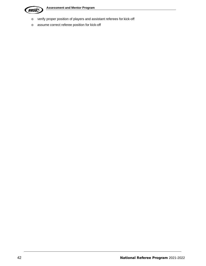

- o verify proper position of players and assistant referees for kick-off
- o assume correct referee position for kick-off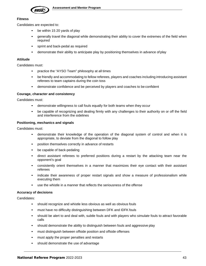

### **Fitness**

Candidates are expected to:

- be within 15 20 yards of play
- generally travel the diagonal while demonstrating their ability to cover the extremes of the field when required
- sprint and back-pedal as required
- demonstrate their ability to anticipate play by positioning themselves in advance of play

#### **Attitude**

Candidates must:

- practice the "AYSO Team" philosophy at all times
- be friendly and accommodating to fellow referees, players and coaches including introducing assistant referees to team captains during the coin toss
- demonstrate confidence and be perceived by players and coaches to be confident

#### **Courage, character and consistency**

Candidates must:

- demonstrate willingness to call fouls equally for both teams when they occur
- be capable of recognizing and dealing firmly with any challenges to their authority on or off the field and interference from the sidelines

#### **Positioning, mechanics and signals**

Candidates must:

- demonstrate their knowledge of the operation of the diagonal system of control and when it is appropriate, to deviate from the diagonal to follow play
- position themselves correctly in advance of restarts
- be capable of back-pedaling
- direct assistant referees to preferred positions during a restart by the attacking team near the opponent's goal
- consistently orient themselves in a manner that maximizes their eye contact with their assistant referees
- indicate their awareness of proper restart signals and show a measure of professionalism while executing them
- use the whistle in a manner that reflects the seriousness of the offense

#### **Accuracy of decisions**

Candidates:

- should recognize and whistle less obvious as well as obvious fouls
- must have no difficulty distinguishing between DFK and IDFK fouls
- should be alert to and deal with, subtle fouls and with players who *simulate* fouls to attract favorable calls
- should demonstrate the ability to distinguish between fouls and aggressive play
- must distinguish between offside position and offside offenses
- must apply the proper penalties and restarts
- should demonstrate the use of advantage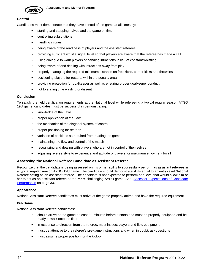

# **Control**

Candidates must demonstrate that they have control of the game at all times by:

- starting and stopping halves and the game on time
- controlling substitutions
- handling injuries
- being aware of the readiness of players and the assistant referees
- providing sufficient whistle signal level so that players are aware that the referee has made a call
- using dialogue to warn players of pending infractions in lieu of constant whistling
- being aware of and dealing with infractions away from play
- properly managing the required minimum distance on free kicks, corner kicks and throw ins
- positioning players for restarts within the penalty area
- providing protection for goalkeeper as well as ensuring proper goalkeeper conduct
- not tolerating time wasting or dissent

#### **Conclusion**

To satisfy the field certification requirements at the National level while refereeing a typical regular season AYSO 19U game, candidates must be successful in demonstrating:

- knowledge of the Laws
- proper application of the Law
- the mechanics of the diagonal system of control
- proper positioning for restarts
- variation of positions as required from reading the game
- maintaining the flow and control of the match
- recognizing and dealing with players who are not in control of themselves
- adjusting referee style to experience and attitude of players for maximum enjoyment forall

# **Assessing the National Referee Candidate as Assistant Referee**

Recognize that the candidate is being assessed on his or her ability to successfully perform as assistant referees in a typical regular season AYSO 19U game. The candidate should demonstrate skills equal to an entry-level National Referee acting as an assistant referee. The candidate is not expected to perform at a level that would allow him or her to act as an assistant referee at the **most** challenging AYSO game. See: [Assessor Expectations of Candidate](#page-42-0)  [Performance](#page-42-0) on page 33.

#### **Appearance**

National Assistant Referee candidates must arrive at the game properly attired and have the required equipment.

#### **Pre-Game**

National Assistant Referee candidates:

- should arrive at the game at least 30 minutes before it starts and must be properly equipped and be ready to walk onto the field
- in response to direction from the referee, must inspect players and field equipment
- must be attentive to the referee's pre-game instructions and when in doubt, ask questions
- must assume proper position for the kick-off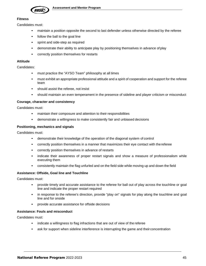

# **Fitness**

Candidates must:

- maintain a position opposite the second to last defender unless otherwise directed by the referee
- follow the ball to the goal line
- sprint and side-step as required
- demonstrate their ability to anticipate play by positioning themselves in advance of play
- correctly position themselves for restarts

#### **Attitude**

Candidates:

- must practice the "AYSO Team" philosophy at all times
- must exhibit an appropriate professional attitude and a spirit of cooperation and support for the referee team
- should assist the referee, not insist
- should maintain an even temperament in the presence of sideline and player criticism or misconduct

#### **Courage, character and consistency**

Candidates must:

- maintain their composure and attention to their responsibilities
- demonstrate a willingness to make consistently fair and unbiased decisions

#### **Positioning, mechanics and signals**

Candidates must:

- demonstrate their knowledge of the operation of the diagonal system of control
- correctly position themselves in a manner that maximizes their eye contact with the referee
- correctly position themselves in advance of restarts
- indicate their awareness of proper restart signals and show a measure of professionalism while executing them
- consistently maintain the flag unfurled and on the field side while moving up and down the field

#### **Assistance: Offside, Goal line and Touchline**

Candidates must:

- provide timely and accurate assistance to the referee for ball out of play across the touchline or goal line and indicate the proper restart required
- in response to the referee's direction, provide "play on" signals for play along the touchline and goal line and for onside
- provide accurate assistance for offside decisions

#### **Assistance: Fouls and misconduct**

Candidates must:

- indicate a willingness to flag infractions that are out of view of the referee
- ask for support when sideline interference is interrupting the game and their concentration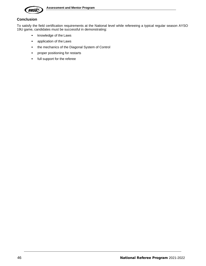

# **Conclusion**

To satisfy the field certification requirements at the National level while refereeing a typical regular season AYSO 19U game, candidates must be successful in demonstrating:

- knowledge of the Laws
- application of the Laws
- the mechanics of the Diagonal System of Control
- proper positioning for restarts
- full support for the referee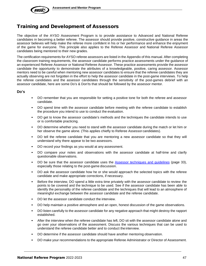

# Training and Development of Assessors

The objective of the AYSO Assessment Program is to provide assistance to Advanced and National Referee candidates in becoming a better referee. The assessor should provide positive, constructive guidance in areas the assessor believes will help make the referee more confident in his or her performance and enhance the enjoyment of the game for everyone. This principle also applies to the Referee Assessor and National Referee Assessor candidates being mentored to their new grades.

The certification requirements for AYSO referee assessors are listed in the Appendix of this manual. After completing the classroom training requirements, the assessor candidate performs practice assessments under the guidance of an experienced Referee Assessor or National Referee Assessor. These practice assessments provide the assessor candidate the opportunity to demonstrate the attributes of a knowledgeable, positive, caring assessor. Assessor mentors need to be careful when mentoring new assessor candidates to ensure that the referee candidates they are actually observing are not forgotten in the effort to help the assessor candidate in the post-game interviews. To help the referee candidates and the assessor candidates through the sensitivity of the post-games debrief with an assessor candidate, here are some Do's & Don'ts that should be followed by the assessor mentor.

# **Do's**

- DO remember that you are responsible for setting a positive tone for both the referee and assessor candidate.
- DO spend time with the assessor candidate before meeting with the referee candidate to establish the procedure you intend to use to conduct the evaluation.
- DO get to know the assessor candidate's methods and the techniques the candidate intends to use or is comfortable practicing.
- DO determine whether you need to stand with the assessor candidate during the match or let him or her observe the game alone. (This applies chiefly to Referee Assessor candidates).
- DO tell the referee candidate that you are mentoring a new assessor candidate so that they will understand why there appear to be two assessors.
- DO record your findings as you would at any assessment.
- DO compare your notes and observations with the assessor candidate at half-time and clarify questionable observations.
- DO be sure that the assessor candidate uses the [Assessor techniques and guidelines](#page-42-1) (page 33), especially those relating to the post-game discussion.
- DO ask the assessor candidate how he or she would approach the selected topics with the referee candidate and make appropriate corrections, if necessary.
- Before the interview, DO spend a little extra time privately with the assessor candidate to review the points to be covered and the technique to be used. See if the assessor candidate has been able to identify the personality of the referee candidate and the techniques that will lead to an atmosphere of meaningful exchange between the assessor candidate and the referee candidate.
- DO let the assessor candidate conduct the interview.
- DO help maintain a positive atmosphere and an open, honest discussion of the game observations.
- DO listen carefully to the assessor candidate for any negative approach that might destroy the rapport established.
- After the interview when the referee candidate has left, DO sit with the assessor candidate alone and go over your observations of the assessment. Discuss the various techniques that can be used to understand the referee candidate better and to conduct the interview.
- DO determine if the assessor candidate should have another mentoring observation.
- DO make your recommendations to the appropriate Referee Administrator or Director of Assessment.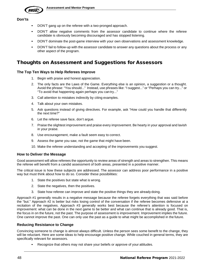

# **Don'ts**

- DON'T gang up on the referee with a two-pronged approach.
- DON'T allow negative comments from the assessor candidate to continue where the referee candidate is obviously becoming discouraged and has stopped listening.
- DON'T dominate the post-game interview with your own observations and assessment knowledge.
- DON'T fail to follow-up with the assessor candidate to answer any questions about the process or any other aspect of the program.

# <span id="page-57-0"></span>Thoughts on Assessment and Suggestions for Assessors

# **The Top Ten Ways to Help Referees Improve**

- 1. Begin with praise and honest appreciation.
- 2. The only facts are the Laws of the Game. Everything else is an opinion, a suggestion or a thought. Avoid the phrase: "You should..." Instead, use phrases like: "I suggest..." or "Perhaps you can try..." or "To avoid that happening again perhaps you can try..."
- 3. Call attention to mistakes indirectly by citing examples.
- 4. Talk about your own mistakes.
- 5. Ask questions instead of giving directives. For example, ask "How could you handle that differently the next time?"
- 6. Let the referee save face, don't argue.
- 7. Praise the slightest improvement and praise every improvement. Be hearty in your approval and lavish in your praise.
- 8. Use encouragement, make a fault seem easy to correct.
- 9. Assess the game you saw, not the game that might have been.
- 10. Make the referee understanding and accepting of the improvements you suggest.

#### **How to Deliver the Message**

Good assessment will allow referees the opportunity to review areas of strength and areas to strengthen. This means the referee will benefit from a candid assessment of both areas, presented in a positive manner.

The critical issue is how these subjects are addressed. The assessor can address poor performance in a positive way but must think about how to do so. Consider these possibilities:

- 1. State the positives but state what is wrong.
- 2. State the negatives, then the positives.
- 3. State how referee can improve and state the positive things they are already doing.

Approach #1 generally results in a negative message because the referee forgets everything that was said before the "but." Approach #2 is better but risks losing control of the conversation if the referee becomes defensive at a recitation of the negatives. Approach #3 generally works best because the referee's attention is focused on improvement: what can be done in the next game to be better and what can continue that is already good. That is, the focus in on the future, not the past. The purpose of assessment is improvement. Improvement implies the future. One cannot improve the past. One can only use the past as a guide to what might be accomplished in the future.

# **Reducing Resistance to Change**

Convincing someone to change is almost always difficult. Unless the person sees some benefit to the change, they will be reluctant. Here are some ideas to help encourage positive change. While couched in general terms, they are specifically relevant for assessors.

• Recognize that others may not share your beliefs or approve of your attitudes.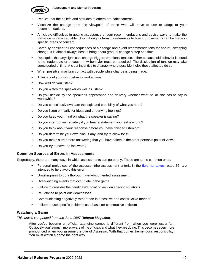

- Realize that the beliefs and attitudes of others are habit patterns.
- Visualize the change from the viewpoint of those who will have to use or adapt to your recommendations.
- Anticipate difficulties in getting acceptance of your recommendations and devise ways to make the transition more acceptable. Solicit thoughts from the referee as to how improvements can be made in specific areas of concern.
- Carefully consider all consequences of a change and avoid recommendations for abrupt, sweeping change. It is almost always best to bring about gradual change a step at a time.
- Recognize that any significant change triggers emotional tension, either because old behavior is found to be inadequate or because new behavior must be acquired. The dissipation of tension may take some period of time. A clear incentive to change, where possible, helps those affected do so.
- When possible, maintain contact with people while change is being made.
- Think about your own behavior and actions:
- o How well do you listen?
- o Do you watch the speaker as well as listen?
- o Do you decide by the speaker's appearance and delivery whether what he or she has to say is worthwhile?
- o Do you consciously evaluate the logic and credibility of what you hear?
- o Do you listen primarily for ideas and underlying feelings?
- o Do you keep your mind on what the speaker is saying?
- o Do you interrupt immediately if you hear a statement you feel is wrong?
- o Do you think about your response before you have finished listening?
- o Do you determine your own bias, if any, and try to allow for it?
- o Do you make sure before answering that you have taken in the other person's point of view?
- o Do you try to have the last word?

#### **Common Sources of Errors in Assessments**

Regrettably, there are many ways in which assessments can go poorly. These are some common ones:

- Personal prejudices of the assessor (the assessment criteria in the [field narratives,](#page-45-2) page 36, are intended to help avoid this error)
- Unwillingness to do a thorough, well-documented assessment
- Overweighing events that occur late in the game
- Failure to consider the candidate's point of view on specific situations
- Reluctance to point out weaknesses
- Communicating negatively rather than in a positive and constructive manner
- Failure to use specific incidents as a basis for constructive criticism

#### **Watching a Game**

#### *This article is reprinted from the June 1997 Referee Magazine.*

After you've become an official, attending games is different from when you were just a fan. Obviously you're much more aware of the officials and what they are doing. This becomes even more pronounced when you assume the title of Assessor. With that comes tremendous responsibility. You must watch a game the right way.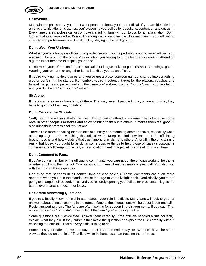

#### **Be Invisible:**

Maintain this philosophy; you don't want people to know you're an official. If you are identified as an official while attending games, you're opening yourself up for questions, contention and criticism. Every time there's a close call or controversial ruling, fans will look to you for an explanation. Don't look at that as an ego stroke, it's not, it is a tough situation to handle while maintaining your officiating integrity and professionalism. Avoid it all by staying in the background.

#### **Don't Wear Your Uniform:**

Whether you're a first-year official or a grizzled veteran, you're probably proud to be an official. You also might be proud of the officials' association you belong to or the league you work in. Attending a game is not the time to display your pride.

Do not wear your referee uniform or association or league jacket or patches while attending a game. Wearing your uniform or any other items identifies you as an official.

If you're working multiple games and you've got a break between games, change into something else or don't sit in the stands. Remember, you're a potential target for the players, coaches and fans of the game you just worked and the game you're about to work. You don't want a confrontation and you don't want "schmoozing" either.

#### **Sit Alone:**

If there's an area away from fans, sit there. That way, even if people know you are an official, they have to go out of their way to talk to

#### **Don't Criticize the Officials:**

Sadly, for many officials, that's the most difficult part of attending a game. That's because some revel in other people's mistakes and enjoy pointing them out to others. It makes them feel good. It also ruins their professional reputations.

There's little more appalling than an official publicly bad-mouthing another official, especially while attending a game and watching that official work. Keep in mind how important the officiating brotherhood is and how violating that trust among officials hurts others. After all, if the officiating is really that lousy, you ought to be doing some positive things to help those officials (a post-game conference, a follow-up phone call, an association meeting topic, etc.) and not criticizing them.

#### **Don't Comment to Fans:**

If you're truly a member of the officiating community, you care about the officials working the game whether you know them or not. You feel good for them when they make a great call. You also hurt with them when things go awry.

One thing that happens in all games: fans criticize officials. Those comments are even more apparent when you're in the stands. Resist the urge to verbally fight back. Realistically, you're not going to change their outlook on us and you're surely opening yourself up for problems. If it gets too bad, move to another section or leave.

#### **Be Careful Answering Questions:**

If you're a locally known official in attendance, your role is difficult. Many fans will look to you for answers about things occurring in the game. Many of those questions will be about judgment calls. Resist answering them. The fans are often looking for support in their arguments. If you say "That was a bad call" or "I wouldn't have called it that way" you're fueling the fire.

Some questions are rules-related. Answer them carefully. If the officials handled a rule correctly, explain what they did. If they didn't, either avoid the question or explain the rule carefully without criticizing the officials. That's a very difficult thing to do.

Sometimes, your safest move is to say, "I didn't see the entire play" or "We don't have the same view as they do on the field." That little white lie hurts less than trashing the referees.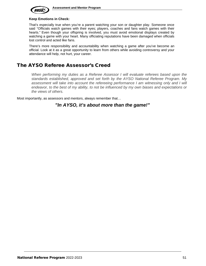

#### **Keep Emotions in Check:**

That's especially true when you're a parent watching your son or daughter play. Someone once said "Officials watch games with their eyes; players, coaches and fans watch games with their hearts." Even though your offspring is involved, you must avoid emotional displays created by watching a game with your heart. Many officiating reputations have been damaged when officials lost control and acted like fans.

There's more responsibility and accountability when watching a game after you've become an official. Look at it as a great opportunity to learn from others while avoiding controversy and your attendance will help, not hurt, your career.

# The AYSO Referee Assessor's Creed

*When performing my duties as a Referee Assessor I will evaluate referees based upon the standards established, approved and set forth by the AYSO National Referee Program. My assessment will take into account the refereeing performance I am witnessing only and I will endeavor, to the best of my ability, to not be influenced by my own biases and expectations or the views of others.*

Most importantly, as assessors and mentors, always remember that…

*"In AYSO, it's about more than the game!"*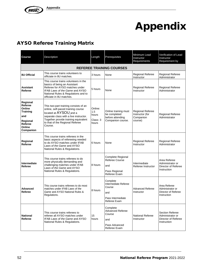**AYSO:** 

# <span id="page-61-0"></span>AYSO Referee Training Matrix

| Course                                                                                                              | Description                                                                                                                                                                                                                           | Length                                       | Prerequisites                                                                          | Minimum Lead<br>Instructor<br>Requirements                         | Verification of Lead<br>Instructor<br>Requirement by                             |
|---------------------------------------------------------------------------------------------------------------------|---------------------------------------------------------------------------------------------------------------------------------------------------------------------------------------------------------------------------------------|----------------------------------------------|----------------------------------------------------------------------------------------|--------------------------------------------------------------------|----------------------------------------------------------------------------------|
|                                                                                                                     |                                                                                                                                                                                                                                       |                                              | <b>REFEREE TRAINING COURSES</b>                                                        |                                                                    |                                                                                  |
| <b>8U Official</b>                                                                                                  | This course trains volunteers to<br>officiate in 8U matches.                                                                                                                                                                          | 3 hours                                      | None                                                                                   | <b>Regional Referee</b><br>Instructor                              | <b>Regional Referee</b><br>Administrator                                         |
| <b>Assistant</b><br><b>Referee</b>                                                                                  | This course trains volunteers in the<br>basics of being an Assistant<br>Referee for AYSO matches under<br>IFAB Laws of the Game and AYSO<br>National Rules & Regulations and to<br>officiate in 8U matches.                           | 5 hours                                      | None                                                                                   | <b>Regional Referee</b><br>Instructor                              | <b>Regional Referee</b><br>Administrator                                         |
| Regional<br><b>Referee</b><br>Online<br><b>Training</b><br>and<br>Regional<br><b>Referee</b><br>Online<br>Companion | This two-part training consists of an<br>online, self-paced training course<br>located at AYSOU and a<br>separate class with a live instructor.<br>Together provide training equivalent<br>to that of the Regional Referee<br>Course. | Online:<br>1.5<br>hours<br>Class: 3<br>hours | Online training must<br>be completed<br>before attending<br>Companion course.          | <b>Regional Referee</b><br>Instructor (for<br>Companion<br>course) | <b>Regional Referee</b><br>Administrator                                         |
| Regional<br>Referee                                                                                                 | This course trains referees in the<br>basic aspects of refereeing needed<br>to do AYSO matches under IFAB<br>Laws of the Game and AYSO<br>National Rules & Regulations.                                                               | 6 hours                                      | None                                                                                   | Regional Referee<br>Instructor                                     | <b>Regional Referee</b><br>Administrator                                         |
| Intermediate<br>Referee                                                                                             | This course trains referees to do<br>more physically demanding and<br>challenging matches under IFAB<br>Laws of the Game and AYSO<br>National Rules & Regulations.                                                                    | 8 hours                                      | Complete Regional<br>Referee Course<br>and<br>Pass Regional<br>Referee Exam            | Intermediate<br>Referee Instructor                                 | Area Referee<br>Administrator or<br>Director of Referee<br>Instruction           |
| <b>Advanced</b><br>Referee                                                                                          | This course trains referees to do most<br>matches under IFAB Laws of the<br>Game and AYSO National Rules &<br>Regulations.                                                                                                            | 8 hours                                      | Complete<br>Intermediate Referee<br>Course<br>and<br>Pass Intermediate<br>Referee Exam | <b>Advanced Referee</b><br>Instructor                              | Area Referee<br>Administrator or<br>Director of Referee<br>Instruction           |
| <b>National</b><br>Referee                                                                                          | This course trains referees to<br>referee all AYSO matches under<br>IFAB Laws of the Game and AYSO<br>National Rules & Regulations.                                                                                                   | 15<br>hours                                  | Complete<br><b>Advanced Referee</b><br>Course<br>and<br>Pass Advanced<br>Referee Exam  | <b>National Referee</b><br>Instructor                              | <b>Section Referee</b><br>Administrator or<br>Director of Referee<br>Instruction |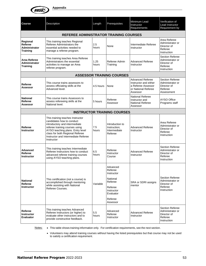| HUHN |  |
|------|--|
|      |  |

**Appendix**

| <b>Course</b>                                                  | Description                                                                                                                                                                                                                                                  | Length        | Prerequisites                                                                                                         | Minimum Lead<br>Instructor<br>Requirements                                                                | Verification of<br><b>Lead Instructor</b><br>Requirement by                         |
|----------------------------------------------------------------|--------------------------------------------------------------------------------------------------------------------------------------------------------------------------------------------------------------------------------------------------------------|---------------|-----------------------------------------------------------------------------------------------------------------------|-----------------------------------------------------------------------------------------------------------|-------------------------------------------------------------------------------------|
|                                                                | REFEREE ADMINISTRATOR TRAINING COURSES                                                                                                                                                                                                                       |               |                                                                                                                       |                                                                                                           |                                                                                     |
| Regional<br>Referee<br><b>Administrator</b><br><b>Training</b> | This training teaches Regional<br>Referee Administrators the<br>essential activities needed to<br>manage a referee program.                                                                                                                                  | 2.5<br>hours  | None                                                                                                                  | Intermediate Referee<br>Instructor                                                                        | Area Referee<br>Administrator or<br>Director of<br>Referee<br>Instruction           |
| Area Referee<br><b>Administrator</b><br><b>Training</b>        | This training teaches Area Referee<br>Administrators the essential<br>activities to manage an Area<br>referee program.                                                                                                                                       | 1.25<br>hours | Referee Admin<br>Training                                                                                             | <b>Advanced Referee</b><br>Instructor                                                                     | <b>Section Referee</b><br>Administrator or<br>Director of<br>Referee<br>Instruction |
|                                                                |                                                                                                                                                                                                                                                              |               | <b>ASSESSOR TRAINING COURSES</b>                                                                                      |                                                                                                           |                                                                                     |
| <b>Referee</b><br><b>Assessor</b>                              | This course trains assessors to<br>assess officiating skills at the<br>Advanced level.                                                                                                                                                                       | 4.5 hours     | None                                                                                                                  | <b>Advanced Referee</b><br>Instructor and either<br>a Referee Assessor<br>or National Referee<br>Assessor | <b>Section Referee</b><br>Administrator or<br>Director of<br>Referee<br>Assessment  |
| <b>National</b><br>Referee<br><b>Assessor</b>                  | This course trains Assessors to<br>assess refereeing skills at the<br>National level.                                                                                                                                                                        | 5 hours       | Referee<br>Assessor                                                                                                   | <b>National Referee</b><br>Instructor and<br><b>National Referee</b><br>Assessor                          | <b>AYSO Office</b><br>Programs staff                                                |
|                                                                |                                                                                                                                                                                                                                                              |               | <b>INSTRUCTOR TRAINING COURSES</b>                                                                                    |                                                                                                           |                                                                                     |
| Referee<br><b>Instructor</b>                                   | This training teaches Instructor<br>candidates how to conduct<br>introductory and intermediate<br>referee training courses using<br>AYSO teaching plans. Entry level<br>class for both Regional Referee<br>Instructor and Intermediate Referee<br>Instructor | 7.5<br>hours  | Introduction to<br>Instruction;<br>Intermediate<br>Referee                                                            | <b>Advanced Referee</b><br>Instructor                                                                     | Area Referee<br>Administrator or<br>Director of<br>Referee<br>Instruction           |
| <b>Advanced</b><br>Referee<br><b>Instructor</b>                | This training teaches Intermediate<br>Referee Instructors how to conduct<br>advanced referee training courses<br>using AYSO teaching plans.                                                                                                                  | 6.5<br>hours  | Referee<br>Instructor<br>Course                                                                                       | <b>Advanced Referee</b><br>Instructor                                                                     | <b>Section Referee</b><br>Administrator or<br>Director of<br>Referee<br>Instruction |
| <b>National</b><br>Referee<br><b>Instructor</b>                | This certification (not a course) is<br>accomplished through mentoring<br>while assisting with National<br>Referee Courses.                                                                                                                                  | Variable      | Advanced<br>Referee<br>Instructor<br>National<br>Referee<br>Referee<br>Instructor<br>Evaluator<br>Referee<br>Assessor | SRA or SDRI assigns<br>mentor                                                                             | Section Referee<br>Administrator or<br>Director of<br>Referee<br>Instruction        |
| Referee<br><b>Instructor</b><br><b>Evaluator</b>               | This training teaches Advanced<br>Referee Instructors (or higher) to<br>evaluate other instructors and to<br>provide constructive feedback.                                                                                                                  | 5.5<br>hours  | Advanced<br>Referee<br>Instructor                                                                                     | <b>Advanced Referee</b><br>Instructor                                                                     | <b>Section Referee</b><br>Administrator or<br>Director of<br>Referee<br>Instruction |

Notes: . This table shows training information only. For certification requirements, see the next section.

• Volunteers may attend training courses without having the listed prerequisites but that course may not be used to satisfy a certification requirement.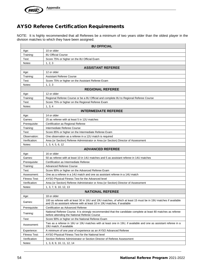

# AYSO Referee Certification Requirements

NOTE: It is highly recommended that all Referees be a minimum of two years older than the oldest player in the division matches to which they have been assigned.

| <b>8U OFFICIAL</b> |                                                                                                                                                                                               |  |  |  |
|--------------------|-----------------------------------------------------------------------------------------------------------------------------------------------------------------------------------------------|--|--|--|
| Age:               | 10 or older                                                                                                                                                                                   |  |  |  |
| Training:          | 8U Official Course                                                                                                                                                                            |  |  |  |
| Test:              | Score 75% or higher on the 8U Official Exam                                                                                                                                                   |  |  |  |
| Notes:             | 1, 2, 3                                                                                                                                                                                       |  |  |  |
|                    | <b>ASSISTANT REFEREE</b>                                                                                                                                                                      |  |  |  |
| Age:               | 12 or older                                                                                                                                                                                   |  |  |  |
| Training:          | <b>Assistant Referee Course</b>                                                                                                                                                               |  |  |  |
| Test:              | Score 75% or higher on the Assistant Referee Exam                                                                                                                                             |  |  |  |
| Notes:             | 1, 2, 3                                                                                                                                                                                       |  |  |  |
|                    | <b>REGIONAL REFEREE</b>                                                                                                                                                                       |  |  |  |
| Age:               | 12 or older                                                                                                                                                                                   |  |  |  |
| Training:          | Regional Referee Course or be a 8U Official and complete 8U to Regional Referee Course                                                                                                        |  |  |  |
| Test:              | Score 75% or higher on the Regional Referee Exam                                                                                                                                              |  |  |  |
| Notes:             | 1, 3, 4                                                                                                                                                                                       |  |  |  |
|                    | <b>INTERMEDIATE REFEREE</b>                                                                                                                                                                   |  |  |  |
| Age:               | 14 or older                                                                                                                                                                                   |  |  |  |
| Games:             | 25 as referee with at least 5 in 12U matches                                                                                                                                                  |  |  |  |
| Prerequisite:      | Certification as Regional Referee                                                                                                                                                             |  |  |  |
| Training:          | Intermediate Referee Course                                                                                                                                                                   |  |  |  |
| Test:              | Score 85% or higher on the Intermediate Referee Exam                                                                                                                                          |  |  |  |
| Observation:       | One observation as a referee in a 12U match is required                                                                                                                                       |  |  |  |
| Verification:      | Area (or Section) Referee Administrator or Area (or Section) Director of Assessment                                                                                                           |  |  |  |
| Notes:             | 1, 3, 4, 5, 6, 12                                                                                                                                                                             |  |  |  |
|                    | <b>ADVANCED REFEREE</b>                                                                                                                                                                       |  |  |  |
| Age:               | 16 or older                                                                                                                                                                                   |  |  |  |
| Games:             | 50 as referee with at least 10 in 14U matches and 5 as assistant referee in 14U matches                                                                                                       |  |  |  |
| Prerequisite:      | Certification as Intermediate Referee                                                                                                                                                         |  |  |  |
| Training:          | <b>Advanced Referee Course</b>                                                                                                                                                                |  |  |  |
| Test:              | Score 90% or higher on the Advanced Referee Exam                                                                                                                                              |  |  |  |
| Assessment:        | One as a referee in a 14U match and one as assistant referee in a 14U match                                                                                                                   |  |  |  |
| Fitness Test:      | AYSO Physical Fitness Test for the Advanced level                                                                                                                                             |  |  |  |
| Verification:      | Area (or Section) Referee Administrator or Area (or Section) Director of Assessment                                                                                                           |  |  |  |
| Notes:             | 1, 3, 7, 9, 10, 12, 13                                                                                                                                                                        |  |  |  |
|                    | <b>NATIONAL REFEREE</b>                                                                                                                                                                       |  |  |  |
| Age:               | 18 or older                                                                                                                                                                                   |  |  |  |
| Games:             | 100 as referee with at least 30 in 16U and 19U matches, of which at least 15 must be in 19U matches if available<br>and 25 as assistant referee with at least 10 in 19U matches, if available |  |  |  |
| Prerequisite:      | Certification as Advanced Referee                                                                                                                                                             |  |  |  |
| Training:          | National Referee Course. It is strongly recommended that the candidate complete at least 80 matches as referee<br>before attending the National Referee Course                                |  |  |  |
| Test:              | Score 90% or higher on the National Referee Exam                                                                                                                                              |  |  |  |
| Assessment:        | Two as a referee in 16U or 19U matches with at least one in 19U, if available and one as assistant referee in a<br>19U match, if available                                                    |  |  |  |
| Experience:        | A minimum of one year of experience as an AYSO Advanced Referee                                                                                                                               |  |  |  |
| Fitness Test:      | AYSO Physical Fitness Test for the National level                                                                                                                                             |  |  |  |
| Verification:      | Section Referee Administrator or Section Director of Referee Assessment                                                                                                                       |  |  |  |
| Notes:             | 1, 3, 8, 9, 10, 11, 12, 14                                                                                                                                                                    |  |  |  |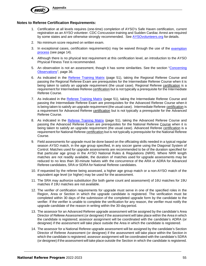

# **Notes to Referee Certification Requirements:**

- 1. Certification at all levels requires (one-time) completion of AYSO's Safe Haven certification, current registration as an AYSO volunteer. CDC Concussion training and Sudden Cardiac Arrest are required by some states and are otherwise strongly recommended. See [AYSOvolunteers.org](https://www.aysovolunteers.org/category/referee-resources/) for details.
- 2. No minimum score required on written exam.
- 3. In exceptional cases, certification requirement(s) may be waived through the use of the [exemption](#page-23-0)  [process](#page-23-0) (see page [14\)](#page-23-0).
- 4. Although there is no physical test requirement at this certification level, an introduction to the AYSO Physical Fitness Test is recommended.
- 5. An observation is not an assessment, though it has some similarities. See the section ["Concerning](#page-45-0)  [Observations"](#page-45-0), page 36.
- 6. As indicated in the [Referee Training Matrix](#page-61-0) (page 51), taking the Regional Referee Course and passing the Regional Referee Exam are prerequisites for the Intermediate Referee Course when it is being taken to satisfy an upgrade requirement (the usual case). Regional Referee certification is a requirement for Intermediate Referee certification but is not typically a prerequisite for the Intermediate Referee Course.
- 7. As indicated in the Referee [Training](#page-61-0) Matrix (page 51), taking the Intermediate Referee Course and passing the Intermediate Referee Exam are prerequisites for the Advanced Referee Course when it is being taken to satisfy an upgrade requirement (the usual case). Intermediate Referee certification is a requirement for Advanced Referee certification but is not typically a prerequisite for the Advanced Referee Course.
- 8. As indicated in the [Referee Training Matrix](#page-61-0) (page 51), taking the Advanced Referee Course and passing the Advanced Referee Exam are prerequisites for the National Referee Course when it is being taken to satisfy an upgrade requirement (the usual case). Advanced Referee certification is a requirement for National Referee certification but is not typically a prerequisite for the National Referee Course.
- 9. Field assessments for upgrade must be done based on the officiating skills needed in a typical regular season AYSO match, in the age group specified, in any soccer game using the Diagonal System of Control. Matches used for upgrade assessments are recommended to be of the duration specified for that particular age group in the AYSO National Rules & Regulations (NRR). Where NRR length matches are not readily available, the duration of matches used for upgrade assessments may be reduced to no less than 30-minute halves with the concurrence of the ARA or ADRA for Advanced Referee candidates, SRA or SDRA for National Referee candidates.
- 10. If requested by the referee being assessed, a higher age group match or a non-AYSO match of the equivalent age level (or higher) may be used for the assessment.
- 11. The SRA may authorize substitution (for both game count and assessment) of 16U matches for 19U matches if 19U matches are not available.
- 12. The verifier of certification requirements for upgrade must serve in one of the specified roles in the Region, Area or Section in which the upgrade candidate is registered. The verification must be completed within 30 days of the submission of the completed upgrade form by the candidate to the verifier. If the verifier is unable to complete the verification for any reason, the verifier must notify the upgrade candidate of the reason in writing within the 30-dayperiod.
- 13. The assessor for an Advanced Referee upgrade assessment will be assigned by the candidate's Area Director of Referee Assessment (or designee) if the assessment will take place within the Area in which the candidate is registered; assessor assignment will be coordinated with the candidate's ADRA (or designee) if the assessment will take place outside the Area in which the candidate is registered.
- 14. The assessor for a National Referee upgrade assessment will be assigned by the candidate's Section Director of Referee Assessment (or designee) if the assessment will take place within the Section in which the candidate is registered; assessor assignment will be coordinated with the candidate's SDRA (or designee) if the assessment will take place outside the Section in which the candidate is registered.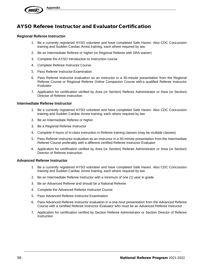

**Appendix**

# AYSO Referee Instructor and Evaluator Certification

### **Regional Referee Instructor**

- 1. Be a currently registered AYSO volunteer and have completed Safe Haven. Also CDC Concussion training and Sudden Cardiac Arrest training, each where required by law.
- 2. Be an Intermediate Referee or higher (or Regional Referee with SRA waiver)
- 3. Complete the AYSO Introduction to Instruction course
- 4. Complete Referee Instructor Course
- 5. Pass Referee Instructor Examination
- 6. Pass Referee Instructor evaluation as an instructor in a 30‐minute presentation from the Regional Referee Course or Regional Referee Online Companion Course with a qualified Referee Instructor Evaluator
- 7. Application for certification verified by Area (or Section) Referee Administrator or Area (or Section) Director of Referee Instruction

# **Intermediate Referee Instructor**

- 1. Be a currently registered AYSO volunteer and have completed Safe Haven. Also CDC Concussion training and Sudden Cardiac Arrest training, each where required by law
- 2. Be an Intermediate Referee or higher
- 3. Be a Regional Referee Instructor
- 4. Complete 4 hours of in-class instruction in Referee training classes (may be multiple classes)
- 5. Pass Referee Instructor evaluation as an instructor in a 30-minute presentation from the Intermediate Referee Course preferably with a different certified Referee Instructor Evaluator
- 6. Application for certification verified by Area (or Section) Referee Administrator or Area (or Section) Director of Referee Instruction

#### **Advanced Referee Instructor**

- 1. Be a currently registered AYSO volunteer and have completed Safe Haven. Also CDC Concussion training and Sudden Cardiac Arrest training, each where required by law
- 2. Be an Intermediate Referee Instructor with a minimum of one (1) year in grade
- 3. Be an Advanced Referee and should be a National Referee
- 4. Complete the Advanced Referee Instructor Course
- 5. Pass Advanced Referee Instructor Examination
- 6. Pass Advanced Referee Instructor evaluation in a one‐hour presentation from the Advanced Referee Course with a certified Referee Instructor Evaluator who must be an Advanced Referee Instructor
- 7. Application for certification verified by Section Referee Administrator or Section Director of Referee **Instruction**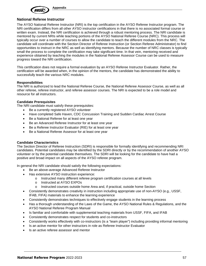

# **National Referee Instructor**

The AYSO National Referee Instructor (NRI) is the top certification in the AYSO Referee Instructor program. The NRI certification differs from all other AYSO instructor certifications in that there is no associated formal course or written exam. Instead, the NRI certification is achieved through a robust mentoring process. The NRI candidate is mentored by current NRIs while teaching portions of the AYSO National Referee Course (NRC). This process will typically occur over a number of courses to allow the candidate to teach the different modules from the NRC. The candidate will coordinate with the Section Director of Referee Instruction (or Section Referee Administrator) to find opportunities to instruct in the NRC as well as identifying mentors. Because the number of NRC classes is typically small the process to complete the certification may take significant time. In that vein, mentoring received and experience obtained by teaching the modules in the National Referee Assessor Course can be used to measure progress toward the NRI certification.

This certification does not require a formal evaluation by an AYSO Referee Instructor Evaluator. Rather, the certification will be awarded when, in the opinion of the mentors, the candidate has demonstrated the ability to successfully teach the various NRC modules.

#### **Responsibilities**

The NRI is authorized to lead the National Referee Course, the National Referee Assessor Course, as well as all other referee, referee instructor, and referee assessor courses. The NRI is expected to be a role model and resource for all instructors.

#### **Candidate Prerequisites**

The NRI candidate must satisfy these prerequisites:

- Be a currently registered AYSO volunteer
- Have completed Safe Haven, CDC Concussion Training and Sudden Cardiac Arrest Course
- Be a National Referee for at least one year
- Be an Advanced Referee Instructor for at least one year
- Be a Referee Instructor Evaluator (RIE) for at least one year
- Be a National Referee Assessor for at least one year

#### **Candidate Characteristics**

The Section Director of Referee Instruction (SDRI) is responsible for formally identifying and recommending NRI candidates. Potential candidates may be identified by the SDRI directly or by the recommendation of another AYSO volunteer or by the potential candidate themselves. The SDRI will be looking for the candidate to have had a positive and broad impact on all aspects of the AYSO referee program.

In general the NRI candidate should satisfy the following expectations:

- Be an above-average Advanced Referee Instructor
- Has extensive AYSO instruction experience:
	- o Instructed many different referee program certification courses at all levels<br>o Instructed at AYSO EXPOs
	- Instructed at AYSO EXPOs
	- o Instructed courses outside home Area and, if practical, outside home Section
- Consistently demonstrates creativity in instruction including appropriate use of non-AYSO (e.g., USSF, IFAB, FIFA) materials to enhance the learning experience
- Consistently demonstrates techniques to effectively engage students in the learning process
- Has a thorough understanding of the Laws of the Game, the AYSO National Rules & Regulations, and the AYSO National Referee Program Manual
- Is familiar and comfortable with supplemental teaching materials from USSF, FIFA, and IFAB
- Consistently demonstrates respect for students and co-instructors
- Consistently works effectively with co-instructors (is a "team player") including providing informal mentoring
- Is an active mentor for other instructors in role as Referee Instructor Evaluator
- Is an active referee assessor and mentor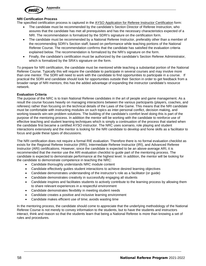

# **Appendix**

#### **NRI Certification Process**

The specified certification process is captured in the AYSO Application for Referee Instructor Certification form:

- The candidate must be recommended by the candidate's Section Director of Referee Instruction, who assures that the candidate has met all prerequisites and has the necessary characteristics expected of a NRI. The recommendation is formalized by the SDRI's signature on the certification form.
- The candidate must be recommended by a National Referee Instructor, preferably other than a member of the recommending SDRI's Section staff, based on performance while teaching portions of the National Referee Course. The recommendation confirms that the candidate has satisfied the evaluation criteria explained below. The recommendation is formalized by the NRI's signature on the form.
- Finally, the candidate's certification must be authorized by the candidate's Section Referee Administrator, which is formalized by the SRA's signature on the form.

To prepare for NRI certification, the candidate must be mentored while teaching a substantial portion of the National Referee Course. Typically this will require the candidate to participate in several courses and may involve more than one mentor. The SDRI will need to work with the candidate to find opportunities to participate in a course. If practical the SDRI and candidate should look for opportunities outside their Section in order to get feedback from a broader range of NRI mentors; this has the added advantage of expanding the instructor candidate's resource network.

#### **Evaluation Criteria**

The purpose of the NRC is to train National Referee candidates in the art of people and game management. As a result the course focuses heavily on managing interactions between the various participants (players, coaches, and referees) rather than focusing on the technical details of the Laws of the Game. This means that the NRI candidate must be comfortable with instructing modules on such topics as inter-personal conflict, decision making, and working towards win-win problem solutions. The building of the candidate's comfort level doing this is part of the purpose of the mentoring process. In addition the mentor will be working with the candidate to reinforce use of effective teaching and student learning techniques which is simply a continuation of the process that started when the candidate first became a certified AYSO instructor. The NRC uses scenario, role playing and student interactions extensively and the mentor is looking for the NRI candidate to develop and hone skills as a facilitator to focus and guide these types of discussions.

The NRI certification does not require a formal RIE evaluation. Therefore there is no formal evaluation checklist as exists for the Regional Referee Instructor (RRI), Intermediate Referee Instructor (IRI), and Advanced Referee Instructor (ARI) certifications. However, since the candidate is expected to be an above-average ARI, it is recommended that the mentor use the ARI evaluation checklist to guide part of the mentoring process. The candidate is expected to demonstrate performance at the highest level. In addition, the mentor will be looking for the candidate to demonstrate competence in teaching the NRC:

- Candidate thoroughly understands NRC module content
- Candidate effectively guides student interactions to achieve desired learning objectives
- Candidate demonstrates understanding of the instructor's role as a facilitator (or guide)
- Candidate demonstrates creativity in successfully engaging all students
- Candidate inspires and facilitates students to actively contribute to the learning process by allowing them to share relevant experiences in a respectful environment
- Candidate demonstrates flexibility in meeting student needs
- Candidate creates a positive and inclusive learning environment
- Candidate makes efficient use of time; avoids wasting time

In the mentoring process, the candidate should come to appreciate that the underlying methodology of the National Referee Course is not merely to convey information to the students, but to have the students and instructors interact, think and reason so that the students learn that being a National Referee is more than knowing a set of rules and procedures.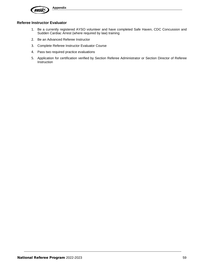

# **Referee Instructor Evaluator**

- 1. Be a currently registered AYSO volunteer and have completed Safe Haven, CDC Concussion and Sudden Cardiac Arrest (where required by law) training
- 2. Be an Advanced Referee Instructor
- 3. Complete Referee Instructor Evaluator Course
- 4. Pass two required practice evaluations
- 5. Application for certification verified by Section Referee Administrator or Section Director of Referee Instruction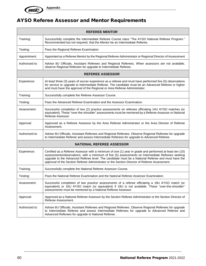

# AYSO Referee Assessor and Mentor Requirements

| <b>REFEREE MENTOR</b>            |                                                                                                                                                                                                                                                                                                                                                                                                                   |  |  |  |
|----------------------------------|-------------------------------------------------------------------------------------------------------------------------------------------------------------------------------------------------------------------------------------------------------------------------------------------------------------------------------------------------------------------------------------------------------------------|--|--|--|
| Training:                        | Successfully complete the Intermediate Referee Course class "The AYSO National Referee Program."<br>Recommended but not required, that the Mentor be an Intermediate Referee.                                                                                                                                                                                                                                     |  |  |  |
| Testing:                         | Pass the Regional Referee Examination                                                                                                                                                                                                                                                                                                                                                                             |  |  |  |
| Appointment:                     | Appointed as a Referee Mentor by the Regional Referee Administrator or Regional Director of Assessment                                                                                                                                                                                                                                                                                                            |  |  |  |
| Authorized to:                   | Advise 8U Officials, Assistant Referees and Regional Referees. When assessors are not available,<br>observe Regional Referees for upgrade to Intermediate Referee.                                                                                                                                                                                                                                                |  |  |  |
|                                  | <b>REFEREE ASSESSOR</b>                                                                                                                                                                                                                                                                                                                                                                                           |  |  |  |
| Experience:                      | At least three (3) years of soccer experience as a referee and must have performed five (5) observations<br>for service or upgrade to Intermediate Referee. The candidate must be an Advanced Referee or higher<br>and must have the approval of the Regional or Area Referee Administrator.                                                                                                                      |  |  |  |
| Training:                        | Successfully complete the Referee Assessor Course.                                                                                                                                                                                                                                                                                                                                                                |  |  |  |
| Testing:                         | Pass the Advanced Referee Examination and the Assessor Examination.                                                                                                                                                                                                                                                                                                                                               |  |  |  |
| Assessment:                      | Successful completion of two (2) practice assessments on referees officiating 14U AYSO matches (or<br>equivalent). These "over-the-shoulder" assessments must be mentored by a Referee Assessor or National<br>Referee Assessor.                                                                                                                                                                                  |  |  |  |
| Approval:                        | Approved as a Referee Assessor by the Area Referee Administrator or the Area Director of Referee<br>Assessment.                                                                                                                                                                                                                                                                                                   |  |  |  |
| Authorized to:                   | Advise 8U Officials, Assistant Referees and Regional Referees. Observe Regional Referees for upgrade<br>to Intermediate Referee and assess Intermediate Referees for upgrade to Advanced Referee.                                                                                                                                                                                                                 |  |  |  |
| <b>NATIONAL REFEREE ASSESSOR</b> |                                                                                                                                                                                                                                                                                                                                                                                                                   |  |  |  |
| Experience:                      | Certified as a Referee Assessor with a minimum of one (1) year in grade and performed at least ten (10)<br>assessments/observations, with a minimum of five (5) assessments on Intermediate Referees seeking<br>upgrade to the Advanced Referee level. The candidate must be a National Referee and must have the<br>approval of the Section Referee Administrator or the Section Director of Referee Assessment. |  |  |  |
| Training:                        | Successfully complete the National Referee Assessor Course.                                                                                                                                                                                                                                                                                                                                                       |  |  |  |
| Testing:                         | Pass the National Referee Examination and the National Referee Assessor Examination.                                                                                                                                                                                                                                                                                                                              |  |  |  |
| Assessment:                      | Successful completion of two practice assessments of a referee officiating a 19U AYSO match (or<br>equivalent) or 16U AYSO match (or equivalent) if 19U is not available. These "over-the-shoulder"<br>assessments must be mentored by a National Referee Assessor.                                                                                                                                               |  |  |  |
| Approval:                        | Approved as a National Referee Assessor by the Section Referee Administrator or the Section Director of<br>Referee Assessment.                                                                                                                                                                                                                                                                                    |  |  |  |
| Authorized to:                   | Advise 8U Officials, Assistant Referees and Regional Referees. Observe Regional Referees for upgrade<br>to Intermediate Referee and assess Intermediate Referees for upgrade to Advanced Referee and<br>Advanced Referees for upgrade to National Referee.                                                                                                                                                        |  |  |  |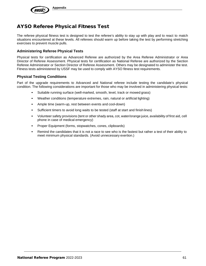# AYSO Referee Physical Fitness Test

The referee physical fitness test is designed to test the referee's ability to stay up with play and to react to match situations encountered at these levels. All referees should warm up before taking the test by performing stretching exercises to prevent muscle pulls.

# **Administering Referee Physical Tests**

Physical tests for certification as Advanced Referee are authorized by the Area Referee Administrator or Area Director of Referee Assessment. Physical tests for certification as National Referee are authorized by the Section Referee Administrator or Section Director of Referee Assessment. Others may be designated to administer the test. Fitness tests administered by USSF may be used to comply with AYSO fitness test requirements.

# **Physical Testing Conditions**

Part of the upgrade requirements to Advanced and National referee include testing the candidate's physical condition. The following considerations are important for those who may be involved in administering physical tests:

- Suitable running surface (well-marked, smooth, level, track or mowed grass)
- Weather conditions (temperature extremes, rain, natural or artificial lighting)
- Ample time (warm-up, rest between events and cool-down)
- Sufficient timers to avoid long waits to be tested (staff at start and finish lines)
- Volunteer safety provisions (tent or other shady area, cot, water/orange juice, availability of first aid, cell phone in case of medical emergency)
- Proper Equipment (forms, stopwatches, cones, clipboards)
- Remind the candidates that it is not a race to see who is the fastest but rather a test of their ability to meet minimum physical standards. (Avoid unnecessary exertion.)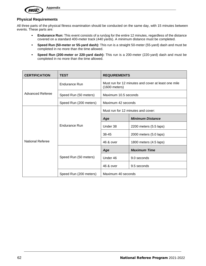

**Appendix**

# **Physical Requirements**

All three parts of the physical fitness examination should be conducted on the same day, with 15 minutes between events. These parts are:

- **Endurance Run:** This event consists of a run/jog for the entire 12 minutes, regardless of the distance covered on a standard 400-meter track (440 yards). A minimum distance must be completed.
- **Speed Run (50-meter or 55-yard dash):** This run is a straight 50-meter (55-yard) dash and must be completed in no more than the time allowed.
- **Speed Run (200-meter or 220-yard dash):** This run is a 200-meter (220-yard) dash and must be completed in no more than the time allowed.

| <b>CERTIFICATION</b>    | <b>TEST</b>            | <b>REQUIREMENTS</b>                                                    |                         |  |
|-------------------------|------------------------|------------------------------------------------------------------------|-------------------------|--|
|                         | Endurance Run          | Must run for 12 minutes and cover at least one mile<br>$(1600$ meters) |                         |  |
| Advanced Referee        | Speed Run (50 meters)  | Maximum 10.5 seconds                                                   |                         |  |
|                         | Speed Run (200 meters) | Maximum 42 seconds                                                     |                         |  |
|                         | Endurance Run          | Must run for 12 minutes and cover:                                     |                         |  |
|                         |                        | Age                                                                    | <b>Minimum Distance</b> |  |
|                         |                        | Under 38                                                               | 2200 meters (5.5 laps)  |  |
|                         |                        | 38-45                                                                  | 2000 meters (5.0 laps)  |  |
| <b>National Referee</b> |                        | 46 & over                                                              | 1800 meters (4.5 laps)  |  |
|                         | Speed Run (50 meters)  | Age                                                                    | <b>Maximum Time</b>     |  |
|                         |                        | Under 46                                                               | 9.0 seconds             |  |
|                         |                        | 46 & over                                                              | 9.5 seconds             |  |
|                         | Speed Run (200 meters) | Maximum 40 seconds                                                     |                         |  |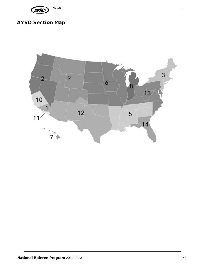

**Notes**

## AYSO Section Map